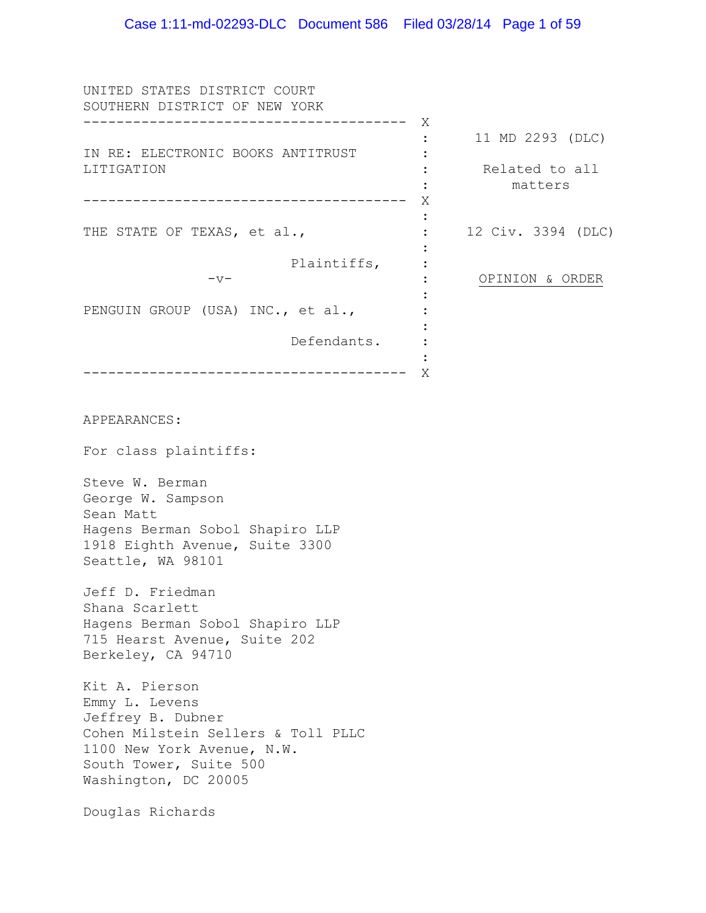UNITED STATES DISTRICT COURT SOUTHERN DISTRICT OF NEW YORK --------------------------------------- X IN RE: ELECTRONIC BOOKS ANTITRUST LITIGATION --------------------------------------- X THE STATE OF TEXAS, et al., Plaintiffs,  $-v-$ PENGUIN GROUP (USA) INC., et al., Defendants. --------------------------------------- X : 11 MD 2293 (DLC)  $\cdot$  :  $\cdot$ : : : : :  $\cdot$  : : : : : : : Related to all matters 12 Civ. 3394 (DLC) OPINION & ORDER

APPEARANCES:

For class plaintiffs:

Steve W. Berman George W. Sampson Sean Matt Hagens Berman Sobol Shapiro LLP 1918 Eighth Avenue, Suite 3300 Seattle, WA 98101

Jeff D. Friedman Shana Scarlett Hagens Berman Sobol Shapiro LLP 715 Hearst Avenue, Suite 202 Berkeley, CA 94710

Kit A. Pierson Emmy L. Levens Jeffrey B. Dubner Cohen Milstein Sellers & Toll PLLC 1100 New York Avenue, N.W. South Tower, Suite 500 Washington, DC 20005

Douglas Richards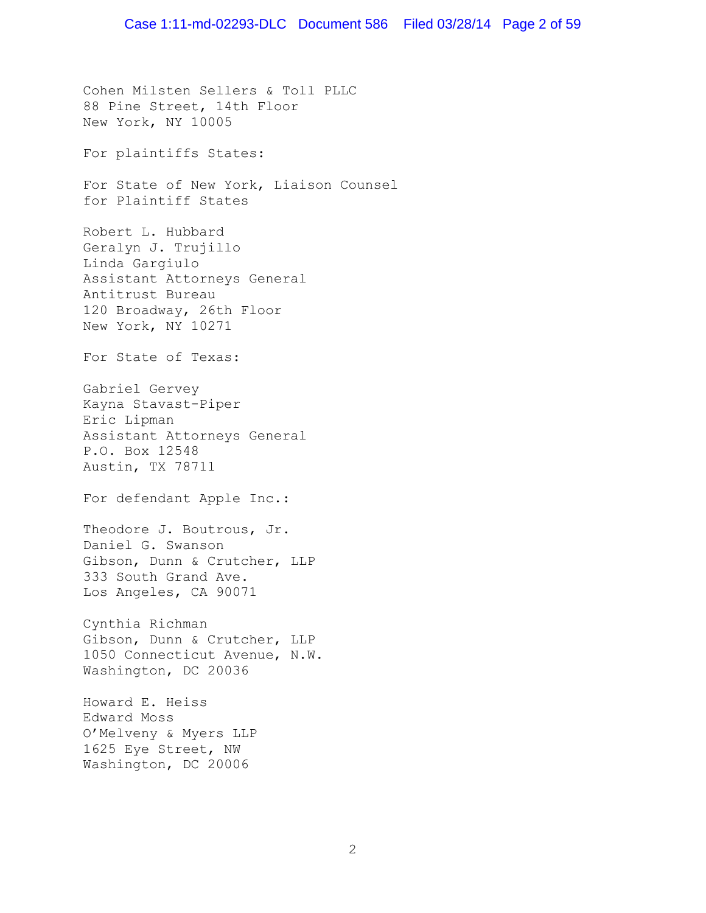Cohen Milsten Sellers & Toll PLLC 88 Pine Street, 14th Floor New York, NY 10005 For plaintiffs States: For State of New York, Liaison Counsel for Plaintiff States Robert L. Hubbard Geralyn J. Trujillo Linda Gargiulo Assistant Attorneys General Antitrust Bureau 120 Broadway, 26th Floor New York, NY 10271 For State of Texas: Gabriel Gervey Kayna Stavast-Piper Eric Lipman Assistant Attorneys General P.O. Box 12548 Austin, TX 78711 For defendant Apple Inc.: Theodore J. Boutrous, Jr. Daniel G. Swanson Gibson, Dunn & Crutcher, LLP 333 South Grand Ave. Los Angeles, CA 90071 Cynthia Richman Gibson, Dunn & Crutcher, LLP 1050 Connecticut Avenue, N.W. Washington, DC 20036 Howard E. Heiss Edward Moss O'Melveny & Myers LLP 1625 Eye Street, NW Washington, DC 20006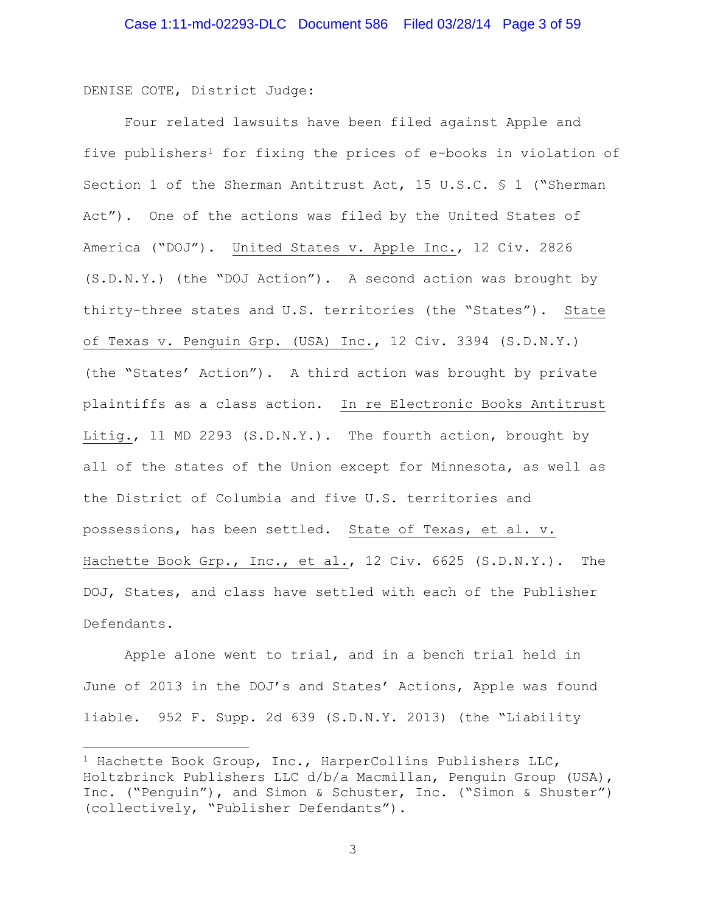DENISE COTE, District Judge:

 $\overline{\phantom{a}}$ 

Four related lawsuits have been filed against Apple and five publishers[1](#page-2-0) for fixing the prices of e-books in violation of Section 1 of the Sherman Antitrust Act, 15 U.S.C. § 1 ("Sherman Act"). One of the actions was filed by the United States of America ("DOJ"). United States v. Apple Inc., 12 Civ. 2826 (S.D.N.Y.) (the "DOJ Action"). A second action was brought by thirty-three states and U.S. territories (the "States"). State of Texas v. Penguin Grp. (USA) Inc., 12 Civ. 3394 (S.D.N.Y.) (the "States' Action"). A third action was brought by private plaintiffs as a class action. In re Electronic Books Antitrust Litig., 11 MD 2293 (S.D.N.Y.). The fourth action, brought by all of the states of the Union except for Minnesota, as well as the District of Columbia and five U.S. territories and possessions, has been settled. State of Texas, et al. v. Hachette Book Grp., Inc., et al., 12 Civ. 6625 (S.D.N.Y.). The DOJ, States, and class have settled with each of the Publisher Defendants.

Apple alone went to trial, and in a bench trial held in June of 2013 in the DOJ's and States' Actions, Apple was found liable. 952 F. Supp. 2d 639 (S.D.N.Y. 2013) (the "Liability

<span id="page-2-0"></span><sup>&</sup>lt;sup>1</sup> Hachette Book Group, Inc., HarperCollins Publishers LLC, Holtzbrinck Publishers LLC d/b/a Macmillan, Penguin Group (USA), Inc. ("Penguin"), and Simon & Schuster, Inc. ("Simon & Shuster") (collectively, "Publisher Defendants").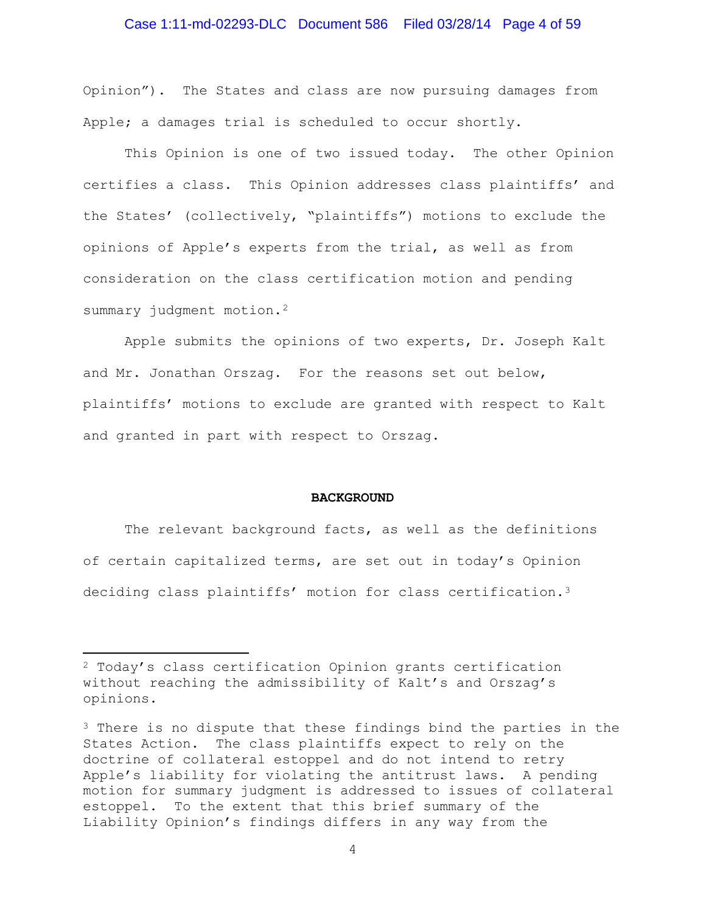# Case 1:11-md-02293-DLC Document 586 Filed 03/28/14 Page 4 of 59

Opinion"). The States and class are now pursuing damages from Apple; a damages trial is scheduled to occur shortly.

This Opinion is one of two issued today. The other Opinion certifies a class. This Opinion addresses class plaintiffs' and the States' (collectively, "plaintiffs") motions to exclude the opinions of Apple's experts from the trial, as well as from consideration on the class certification motion and pending summary judgment motion.<sup>[2](#page-3-0)</sup>

Apple submits the opinions of two experts, Dr. Joseph Kalt and Mr. Jonathan Orszag. For the reasons set out below, plaintiffs' motions to exclude are granted with respect to Kalt and granted in part with respect to Orszag.

#### **BACKGROUND**

The relevant background facts, as well as the definitions of certain capitalized terms, are set out in today's Opinion deciding class plaintiffs' motion for class certification.[3](#page-3-1) 

l

<span id="page-3-0"></span><sup>2</sup> Today's class certification Opinion grants certification without reaching the admissibility of Kalt's and Orszag's opinions.

<span id="page-3-1"></span><sup>&</sup>lt;sup>3</sup> There is no dispute that these findings bind the parties in the States Action. The class plaintiffs expect to rely on the doctrine of collateral estoppel and do not intend to retry Apple's liability for violating the antitrust laws. A pending motion for summary judgment is addressed to issues of collateral estoppel. To the extent that this brief summary of the Liability Opinion's findings differs in any way from the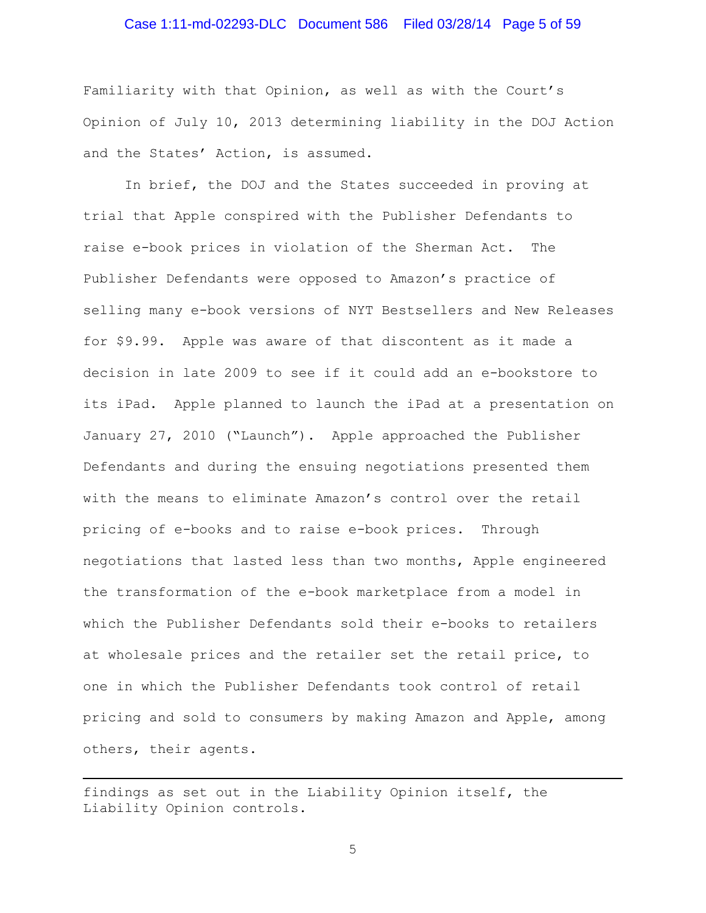# Case 1:11-md-02293-DLC Document 586 Filed 03/28/14 Page 5 of 59

Familiarity with that Opinion, as well as with the Court's Opinion of July 10, 2013 determining liability in the DOJ Action and the States' Action, is assumed.

In brief, the DOJ and the States succeeded in proving at trial that Apple conspired with the Publisher Defendants to raise e-book prices in violation of the Sherman Act. The Publisher Defendants were opposed to Amazon's practice of selling many e-book versions of NYT Bestsellers and New Releases for \$9.99. Apple was aware of that discontent as it made a decision in late 2009 to see if it could add an e-bookstore to its iPad. Apple planned to launch the iPad at a presentation on January 27, 2010 ("Launch"). Apple approached the Publisher Defendants and during the ensuing negotiations presented them with the means to eliminate Amazon's control over the retail pricing of e-books and to raise e-book prices. Through negotiations that lasted less than two months, Apple engineered the transformation of the e-book marketplace from a model in which the Publisher Defendants sold their e-books to retailers at wholesale prices and the retailer set the retail price, to one in which the Publisher Defendants took control of retail pricing and sold to consumers by making Amazon and Apple, among others, their agents.

findings as set out in the Liability Opinion itself, the Liability Opinion controls.

 $\overline{\phantom{a}}$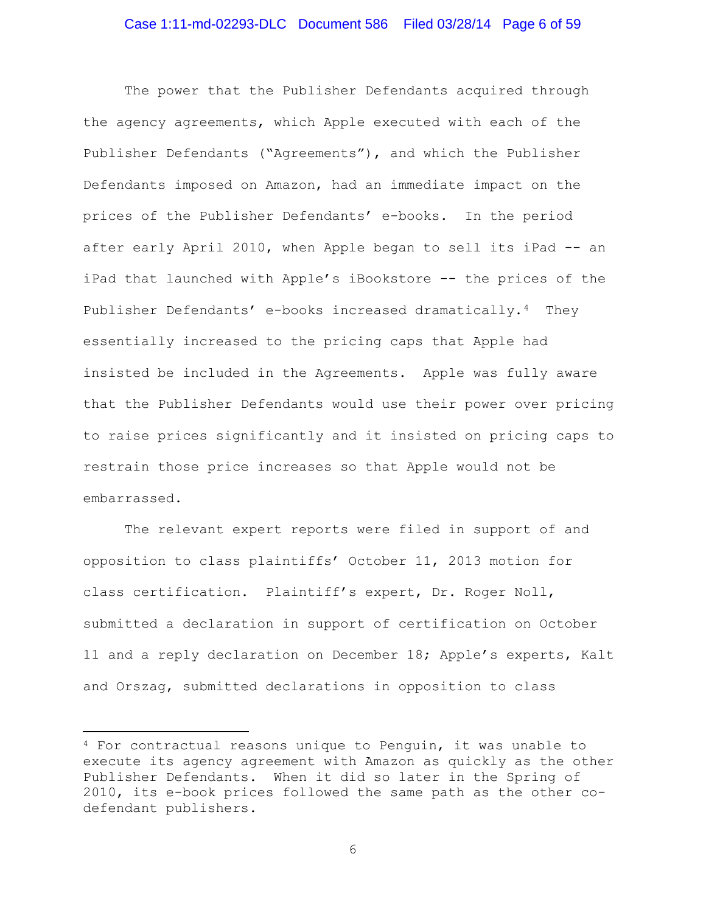The power that the Publisher Defendants acquired through the agency agreements, which Apple executed with each of the Publisher Defendants ("Agreements"), and which the Publisher Defendants imposed on Amazon, had an immediate impact on the prices of the Publisher Defendants' e-books. In the period after early April 2010, when Apple began to sell its iPad -- an iPad that launched with Apple's iBookstore -- the prices of the Publisher Defendants' e-books increased dramatically.[4](#page-5-0) They essentially increased to the pricing caps that Apple had insisted be included in the Agreements. Apple was fully aware that the Publisher Defendants would use their power over pricing to raise prices significantly and it insisted on pricing caps to restrain those price increases so that Apple would not be embarrassed.

The relevant expert reports were filed in support of and opposition to class plaintiffs' October 11, 2013 motion for class certification. Plaintiff's expert, Dr. Roger Noll, submitted a declaration in support of certification on October 11 and a reply declaration on December 18; Apple's experts, Kalt and Orszag, submitted declarations in opposition to class

 $\overline{\phantom{a}}$ 

<span id="page-5-0"></span><sup>4</sup> For contractual reasons unique to Penguin, it was unable to execute its agency agreement with Amazon as quickly as the other Publisher Defendants. When it did so later in the Spring of 2010, its e-book prices followed the same path as the other codefendant publishers.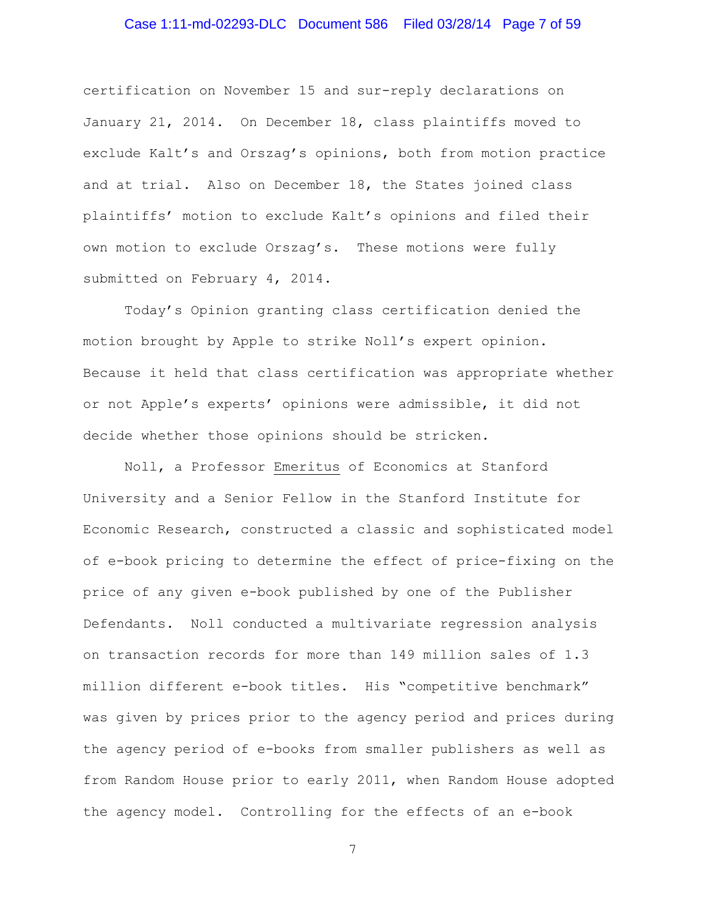# Case 1:11-md-02293-DLC Document 586 Filed 03/28/14 Page 7 of 59

certification on November 15 and sur-reply declarations on January 21, 2014. On December 18, class plaintiffs moved to exclude Kalt's and Orszag's opinions, both from motion practice and at trial. Also on December 18, the States joined class plaintiffs' motion to exclude Kalt's opinions and filed their own motion to exclude Orszag's. These motions were fully submitted on February 4, 2014.

Today's Opinion granting class certification denied the motion brought by Apple to strike Noll's expert opinion. Because it held that class certification was appropriate whether or not Apple's experts' opinions were admissible, it did not decide whether those opinions should be stricken.

Noll, a Professor Emeritus of Economics at Stanford University and a Senior Fellow in the Stanford Institute for Economic Research, constructed a classic and sophisticated model of e-book pricing to determine the effect of price-fixing on the price of any given e-book published by one of the Publisher Defendants. Noll conducted a multivariate regression analysis on transaction records for more than 149 million sales of 1.3 million different e-book titles. His "competitive benchmark" was given by prices prior to the agency period and prices during the agency period of e-books from smaller publishers as well as from Random House prior to early 2011, when Random House adopted the agency model. Controlling for the effects of an e-book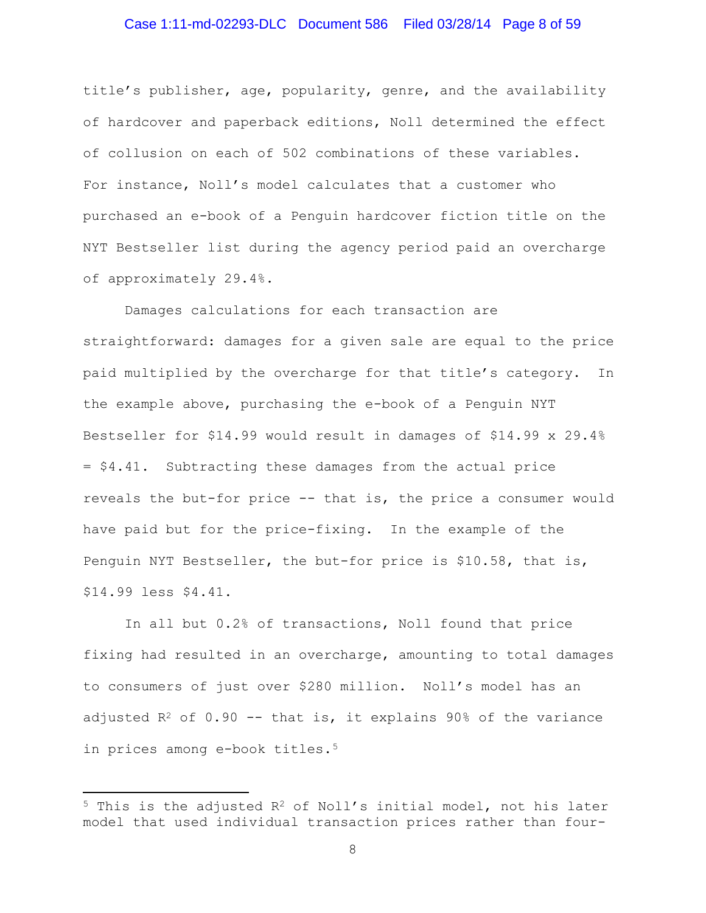### Case 1:11-md-02293-DLC Document 586 Filed 03/28/14 Page 8 of 59

title's publisher, age, popularity, genre, and the availability of hardcover and paperback editions, Noll determined the effect of collusion on each of 502 combinations of these variables. For instance, Noll's model calculates that a customer who purchased an e-book of a Penguin hardcover fiction title on the NYT Bestseller list during the agency period paid an overcharge of approximately 29.4%.

Damages calculations for each transaction are straightforward: damages for a given sale are equal to the price paid multiplied by the overcharge for that title's category. In the example above, purchasing the e-book of a Penguin NYT Bestseller for \$14.99 would result in damages of \$14.99 x 29.4% = \$4.41. Subtracting these damages from the actual price reveals the but-for price -- that is, the price a consumer would have paid but for the price-fixing. In the example of the Penguin NYT Bestseller, the but-for price is \$10.58, that is, \$14.99 less \$4.41.

In all but 0.2% of transactions, Noll found that price fixing had resulted in an overcharge, amounting to total damages to consumers of just over \$280 million. Noll's model has an adjusted  $R^2$  of 0.90 -- that is, it explains 90% of the variance in prices among e-book titles[.5](#page-7-0)

 $\overline{\phantom{a}}$ 

<span id="page-7-0"></span> $5$  This is the adjusted  $R^2$  of Noll's initial model, not his later model that used individual transaction prices rather than four-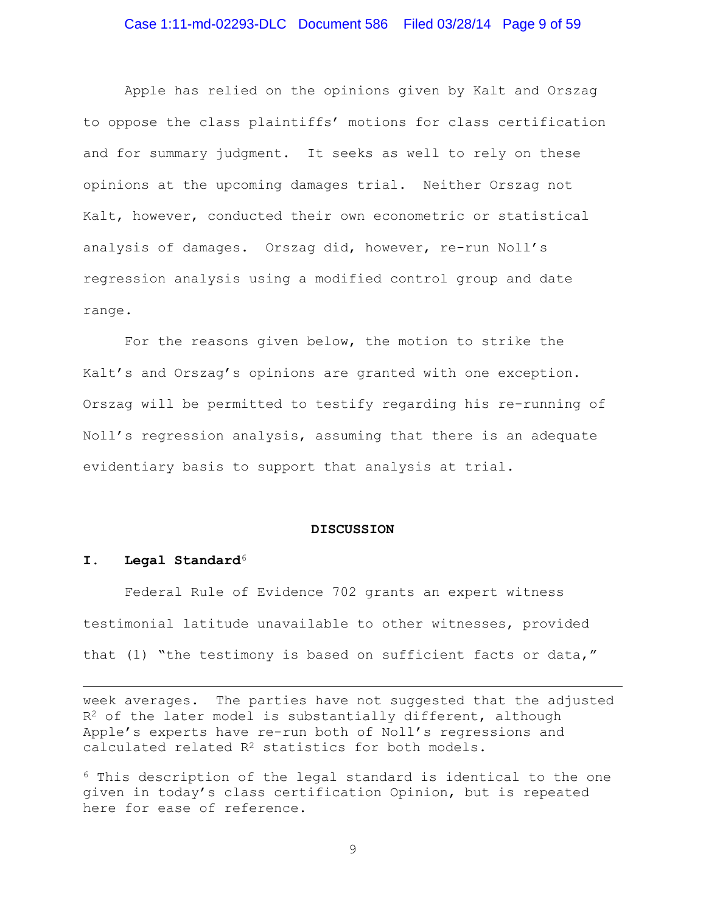Apple has relied on the opinions given by Kalt and Orszag to oppose the class plaintiffs' motions for class certification and for summary judgment. It seeks as well to rely on these opinions at the upcoming damages trial. Neither Orszag not Kalt, however, conducted their own econometric or statistical analysis of damages. Orszag did, however, re-run Noll's regression analysis using a modified control group and date range.

For the reasons given below, the motion to strike the Kalt's and Orszag's opinions are granted with one exception. Orszag will be permitted to testify regarding his re-running of Noll's regression analysis, assuming that there is an adequate evidentiary basis to support that analysis at trial.

#### **DISCUSSION**

#### **I. Legal Standard**[6](#page-8-0)

l

Federal Rule of Evidence 702 grants an expert witness testimonial latitude unavailable to other witnesses, provided that (1) "the testimony is based on sufficient facts or data,"

week averages. The parties have not suggested that the adjusted  $R<sup>2</sup>$  of the later model is substantially different, although Apple's experts have re-run both of Noll's regressions and calculated related  $R^2$  statistics for both models.

<span id="page-8-0"></span><sup>6</sup> This description of the legal standard is identical to the one given in today's class certification Opinion, but is repeated here for ease of reference.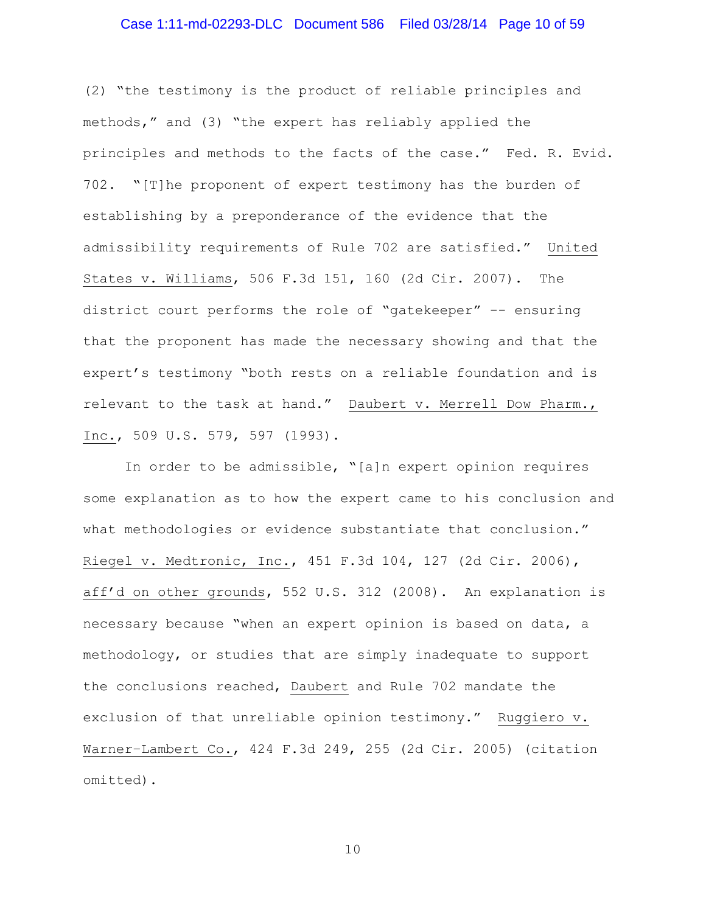# Case 1:11-md-02293-DLC Document 586 Filed 03/28/14 Page 10 of 59

(2) "the testimony is the product of reliable principles and methods," and (3) "the expert has reliably applied the principles and methods to the facts of the case." Fed. R. Evid. 702. "[T]he proponent of expert testimony has the burden of establishing by a preponderance of the evidence that the admissibility requirements of Rule 702 are satisfied." United States v. Williams, 506 F.3d 151, 160 (2d Cir. 2007). The district court performs the role of "gatekeeper" -- ensuring that the proponent has made the necessary showing and that the expert's testimony "both rests on a reliable foundation and is relevant to the task at hand." Daubert v. Merrell Dow Pharm., Inc., 509 U.S. 579, 597 (1993).

In order to be admissible, "[a]n expert opinion requires some explanation as to how the expert came to his conclusion and what methodologies or evidence substantiate that conclusion." Riegel v. Medtronic, Inc., 451 F.3d 104, 127 (2d Cir. 2006), aff'd on other grounds, 552 U.S. 312 (2008). An explanation is necessary because "when an expert opinion is based on data, a methodology, or studies that are simply inadequate to support the conclusions reached, Daubert and Rule 702 mandate the exclusion of that unreliable opinion testimony." Ruggiero v. Warner–Lambert Co., 424 F.3d 249, 255 (2d Cir. 2005) (citation omitted).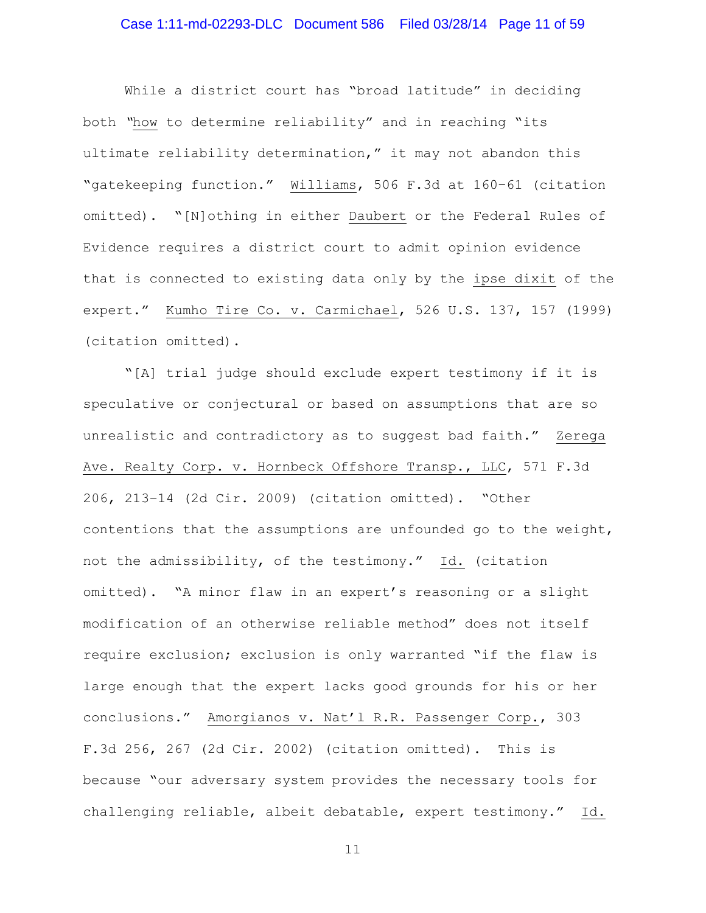# Case 1:11-md-02293-DLC Document 586 Filed 03/28/14 Page 11 of 59

While a district court has "broad latitude" in deciding both *"*how to determine reliability" and in reaching "its ultimate reliability determination," it may not abandon this "gatekeeping function." Williams, 506 F.3d at 160–61 (citation omitted). "[N]othing in either Daubert or the Federal Rules of Evidence requires a district court to admit opinion evidence that is connected to existing data only by the ipse dixit of the expert." Kumho Tire Co. v. Carmichael, 526 U.S. 137, 157 (1999) (citation omitted).

"[A] trial judge should exclude expert testimony if it is speculative or conjectural or based on assumptions that are so unrealistic and contradictory as to suggest bad faith." Zerega Ave. Realty Corp. v. Hornbeck Offshore Transp., LLC, 571 F.3d 206, 213–14 (2d Cir. 2009) (citation omitted). "Other contentions that the assumptions are unfounded go to the weight, not the admissibility, of the testimony." Id. (citation omitted). "A minor flaw in an expert's reasoning or a slight modification of an otherwise reliable method" does not itself require exclusion; exclusion is only warranted "if the flaw is large enough that the expert lacks good grounds for his or her conclusions." Amorgianos v. Nat'l R.R. Passenger Corp., 303 F.3d 256, 267 (2d Cir. 2002) (citation omitted). This is because "our adversary system provides the necessary tools for challenging reliable, albeit debatable, expert testimony." Id.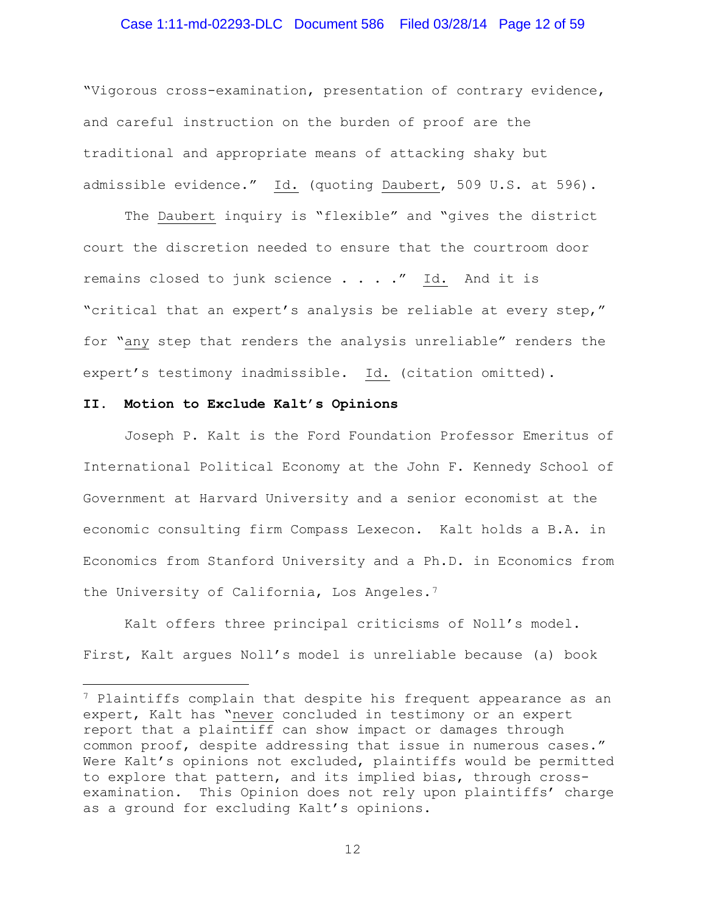### Case 1:11-md-02293-DLC Document 586 Filed 03/28/14 Page 12 of 59

"Vigorous cross-examination, presentation of contrary evidence, and careful instruction on the burden of proof are the traditional and appropriate means of attacking shaky but admissible evidence." Id. (quoting Daubert, 509 U.S. at 596).

The Daubert inquiry is "flexible" and "gives the district court the discretion needed to ensure that the courtroom door remains closed to junk science . . . ." Id. And it is "critical that an expert's analysis be reliable at every step," for "any step that renders the analysis unreliable" renders the expert's testimony inadmissible. Id. (citation omitted).

#### **II. Motion to Exclude Kalt's Opinions**

 $\overline{\phantom{a}}$ 

Joseph P. Kalt is the Ford Foundation Professor Emeritus of International Political Economy at the John F. Kennedy School of Government at Harvard University and a senior economist at the economic consulting firm Compass Lexecon. Kalt holds a B.A. in Economics from Stanford University and a Ph.D. in Economics from the University of California, Los Angeles.<sup>[7](#page-11-0)</sup>

Kalt offers three principal criticisms of Noll's model. First, Kalt argues Noll's model is unreliable because (a) book

<span id="page-11-0"></span><sup>7</sup> Plaintiffs complain that despite his frequent appearance as an expert, Kalt has "never concluded in testimony or an expert report that a plaintiff can show impact or damages through common proof, despite addressing that issue in numerous cases." Were Kalt's opinions not excluded, plaintiffs would be permitted to explore that pattern, and its implied bias, through crossexamination. This Opinion does not rely upon plaintiffs' charge as a ground for excluding Kalt's opinions.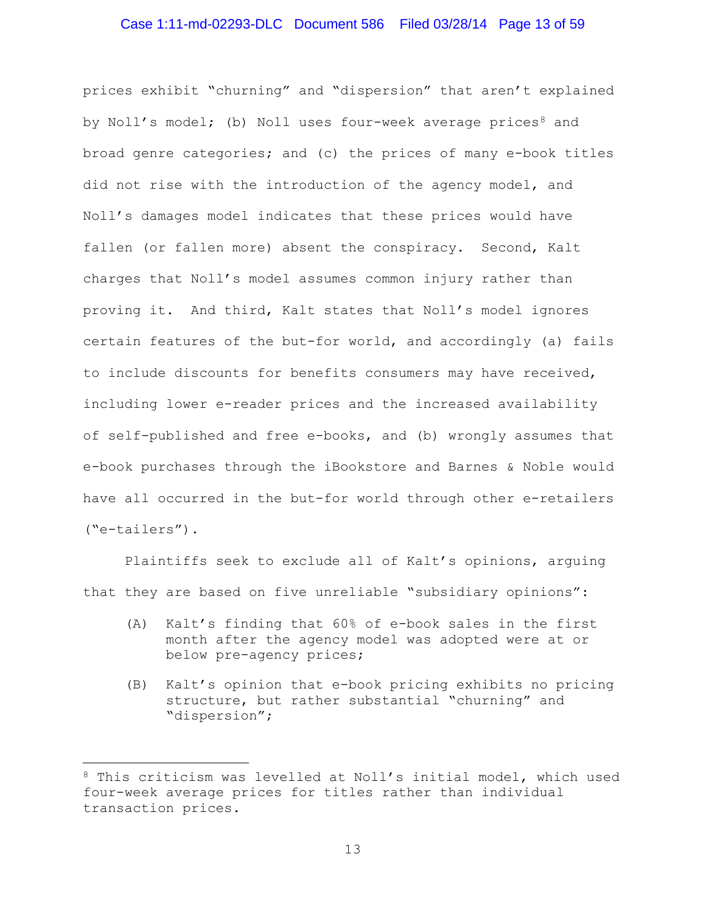### Case 1:11-md-02293-DLC Document 586 Filed 03/28/14 Page 13 of 59

prices exhibit "churning" and "dispersion" that aren't explained by Noll's model; (b) Noll uses four-week average prices<sup>8</sup> and broad genre categories; and (c) the prices of many e-book titles did not rise with the introduction of the agency model, and Noll's damages model indicates that these prices would have fallen (or fallen more) absent the conspiracy. Second, Kalt charges that Noll's model assumes common injury rather than proving it. And third, Kalt states that Noll's model ignores certain features of the but-for world, and accordingly (a) fails to include discounts for benefits consumers may have received, including lower e-reader prices and the increased availability of self-published and free e-books, and (b) wrongly assumes that e-book purchases through the iBookstore and Barnes & Noble would have all occurred in the but-for world through other e-retailers ("e-tailers").

Plaintiffs seek to exclude all of Kalt's opinions, arguing that they are based on five unreliable "subsidiary opinions":

- (A) Kalt's finding that 60% of e-book sales in the first month after the agency model was adopted were at or below pre-agency prices;
- (B) Kalt's opinion that e-book pricing exhibits no pricing structure, but rather substantial "churning" and "dispersion";

 $\overline{\phantom{a}}$ 

<span id="page-12-0"></span><sup>8</sup> This criticism was levelled at Noll's initial model, which used four-week average prices for titles rather than individual transaction prices.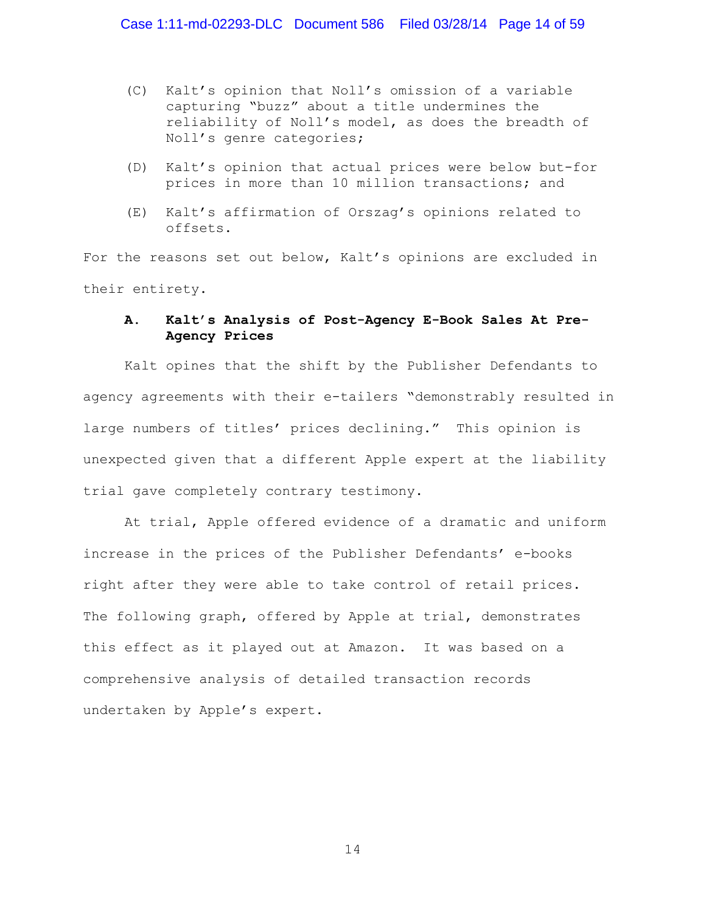- (C) Kalt's opinion that Noll's omission of a variable capturing "buzz" about a title undermines the reliability of Noll's model, as does the breadth of Noll's genre categories;
- (D) Kalt's opinion that actual prices were below but-for prices in more than 10 million transactions; and
- (E) Kalt's affirmation of Orszag's opinions related to offsets.

For the reasons set out below, Kalt's opinions are excluded in their entirety.

### **A. Kalt's Analysis of Post-Agency E-Book Sales At Pre-Agency Prices**

Kalt opines that the shift by the Publisher Defendants to agency agreements with their e-tailers "demonstrably resulted in large numbers of titles' prices declining." This opinion is unexpected given that a different Apple expert at the liability trial gave completely contrary testimony.

At trial, Apple offered evidence of a dramatic and uniform increase in the prices of the Publisher Defendants' e-books right after they were able to take control of retail prices. The following graph, offered by Apple at trial, demonstrates this effect as it played out at Amazon. It was based on a comprehensive analysis of detailed transaction records undertaken by Apple's expert.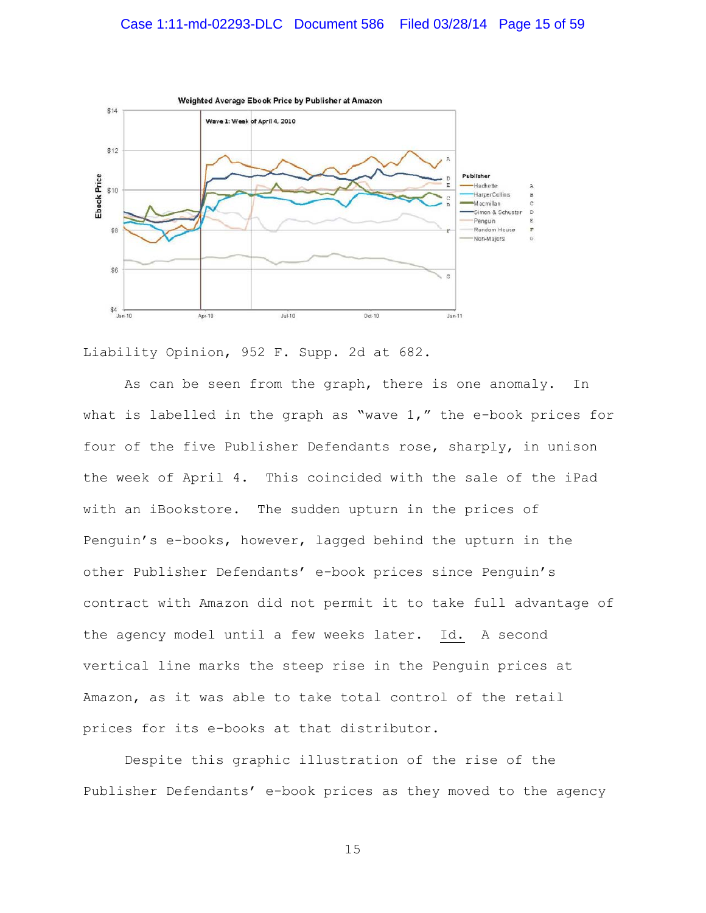# Case 1:11-md-02293-DLC Document 586 Filed 03/28/14 Page 15 of 59



Liability Opinion, 952 F. Supp. 2d at 682.

As can be seen from the graph, there is one anomaly. In what is labelled in the graph as "wave 1," the e-book prices for four of the five Publisher Defendants rose, sharply, in unison the week of April 4. This coincided with the sale of the iPad with an iBookstore. The sudden upturn in the prices of Penguin's e-books, however, lagged behind the upturn in the other Publisher Defendants' e-book prices since Penguin's contract with Amazon did not permit it to take full advantage of the agency model until a few weeks later. Id. A second vertical line marks the steep rise in the Penguin prices at Amazon, as it was able to take total control of the retail prices for its e-books at that distributor.

Despite this graphic illustration of the rise of the Publisher Defendants' e-book prices as they moved to the agency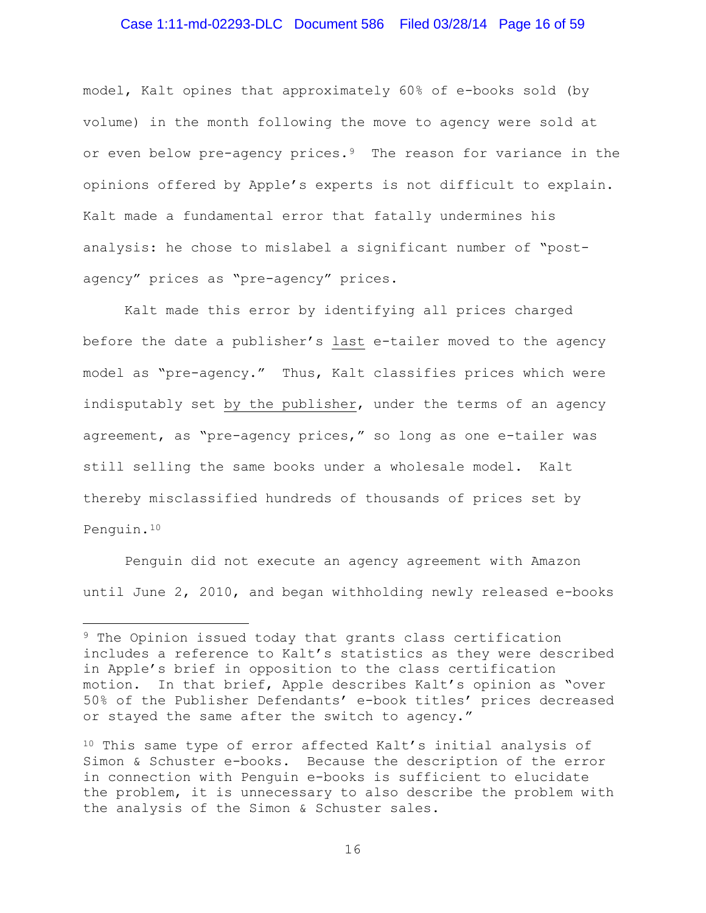### Case 1:11-md-02293-DLC Document 586 Filed 03/28/14 Page 16 of 59

model, Kalt opines that approximately 60% of e-books sold (by volume) in the month following the move to agency were sold at or even below pre-agency prices.<sup>9</sup> The reason for variance in the opinions offered by Apple's experts is not difficult to explain. Kalt made a fundamental error that fatally undermines his analysis: he chose to mislabel a significant number of "postagency" prices as "pre-agency" prices.

Kalt made this error by identifying all prices charged before the date a publisher's last e-tailer moved to the agency model as "pre-agency." Thus, Kalt classifies prices which were indisputably set by the publisher, under the terms of an agency agreement, as "pre-agency prices," so long as one e-tailer was still selling the same books under a wholesale model. Kalt thereby misclassified hundreds of thousands of prices set by Penguin.[10](#page-15-1)

Penguin did not execute an agency agreement with Amazon until June 2, 2010, and began withholding newly released e-books

l

<span id="page-15-0"></span><sup>&</sup>lt;sup>9</sup> The Opinion issued today that grants class certification includes a reference to Kalt's statistics as they were described in Apple's brief in opposition to the class certification motion. In that brief, Apple describes Kalt's opinion as "over 50% of the Publisher Defendants' e-book titles' prices decreased or stayed the same after the switch to agency."

<span id="page-15-1"></span><sup>&</sup>lt;sup>10</sup> This same type of error affected Kalt's initial analysis of Simon & Schuster e-books. Because the description of the error in connection with Penguin e-books is sufficient to elucidate the problem, it is unnecessary to also describe the problem with the analysis of the Simon & Schuster sales.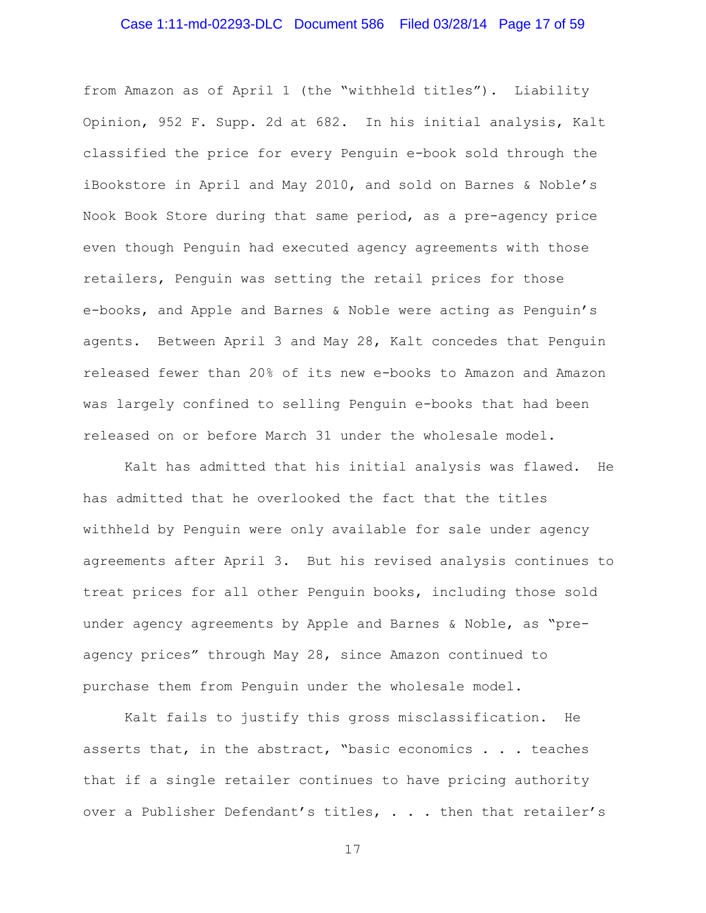# Case 1:11-md-02293-DLC Document 586 Filed 03/28/14 Page 17 of 59

from Amazon as of April 1 (the "withheld titles"). Liability Opinion, 952 F. Supp. 2d at 682. In his initial analysis, Kalt classified the price for every Penguin e-book sold through the iBookstore in April and May 2010, and sold on Barnes & Noble's Nook Book Store during that same period, as a pre-agency price even though Penguin had executed agency agreements with those retailers, Penguin was setting the retail prices for those e-books, and Apple and Barnes & Noble were acting as Penguin's agents. Between April 3 and May 28, Kalt concedes that Penguin released fewer than 20% of its new e-books to Amazon and Amazon was largely confined to selling Penguin e-books that had been released on or before March 31 under the wholesale model.

Kalt has admitted that his initial analysis was flawed. He has admitted that he overlooked the fact that the titles withheld by Penguin were only available for sale under agency agreements after April 3. But his revised analysis continues to treat prices for all other Penguin books, including those sold under agency agreements by Apple and Barnes & Noble, as "preagency prices" through May 28, since Amazon continued to purchase them from Penguin under the wholesale model.

Kalt fails to justify this gross misclassification. He asserts that, in the abstract, "basic economics . . . teaches that if a single retailer continues to have pricing authority over a Publisher Defendant's titles, . . . then that retailer's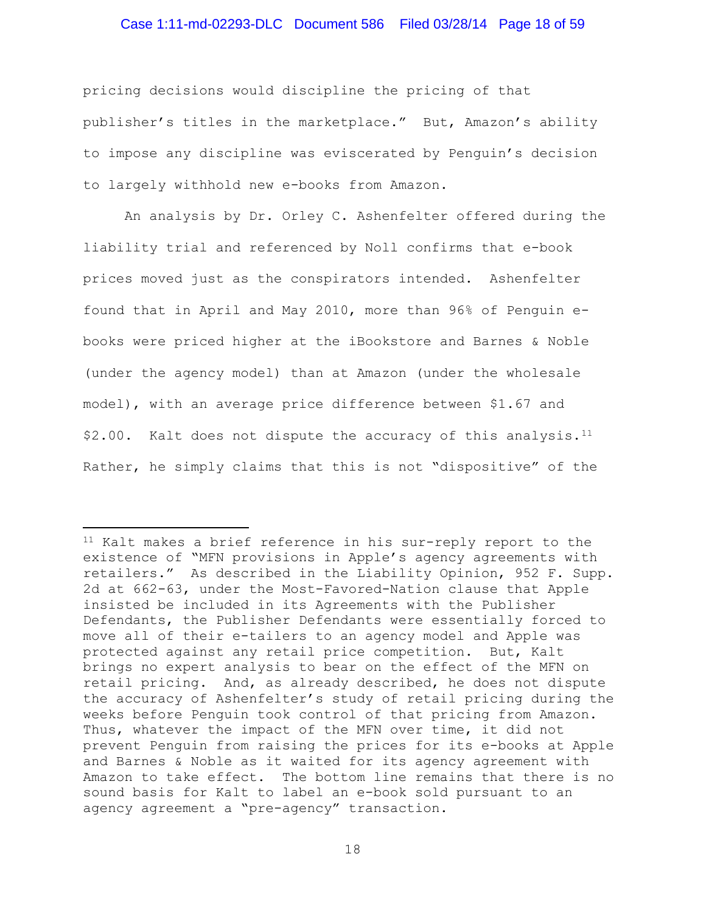### Case 1:11-md-02293-DLC Document 586 Filed 03/28/14 Page 18 of 59

pricing decisions would discipline the pricing of that publisher's titles in the marketplace." But, Amazon's ability to impose any discipline was eviscerated by Penguin's decision to largely withhold new e-books from Amazon.

An analysis by Dr. Orley C. Ashenfelter offered during the liability trial and referenced by Noll confirms that e-book prices moved just as the conspirators intended. Ashenfelter found that in April and May 2010, more than 96% of Penguin ebooks were priced higher at the iBookstore and Barnes & Noble (under the agency model) than at Amazon (under the wholesale model), with an average price difference between \$1.67 and  $$2.00.$  Kalt does not dispute the accuracy of this analysis.<sup>11</sup> Rather, he simply claims that this is not "dispositive" of the

l

<span id="page-17-0"></span><sup>&</sup>lt;sup>11</sup> Kalt makes a brief reference in his sur-reply report to the existence of "MFN provisions in Apple's agency agreements with retailers." As described in the Liability Opinion, 952 F. Supp. 2d at 662-63, under the Most-Favored-Nation clause that Apple insisted be included in its Agreements with the Publisher Defendants, the Publisher Defendants were essentially forced to move all of their e-tailers to an agency model and Apple was protected against any retail price competition. But, Kalt brings no expert analysis to bear on the effect of the MFN on retail pricing. And, as already described, he does not dispute the accuracy of Ashenfelter's study of retail pricing during the weeks before Penguin took control of that pricing from Amazon. Thus, whatever the impact of the MFN over time, it did not prevent Penguin from raising the prices for its e-books at Apple and Barnes & Noble as it waited for its agency agreement with Amazon to take effect. The bottom line remains that there is no sound basis for Kalt to label an e-book sold pursuant to an agency agreement a "pre-agency" transaction.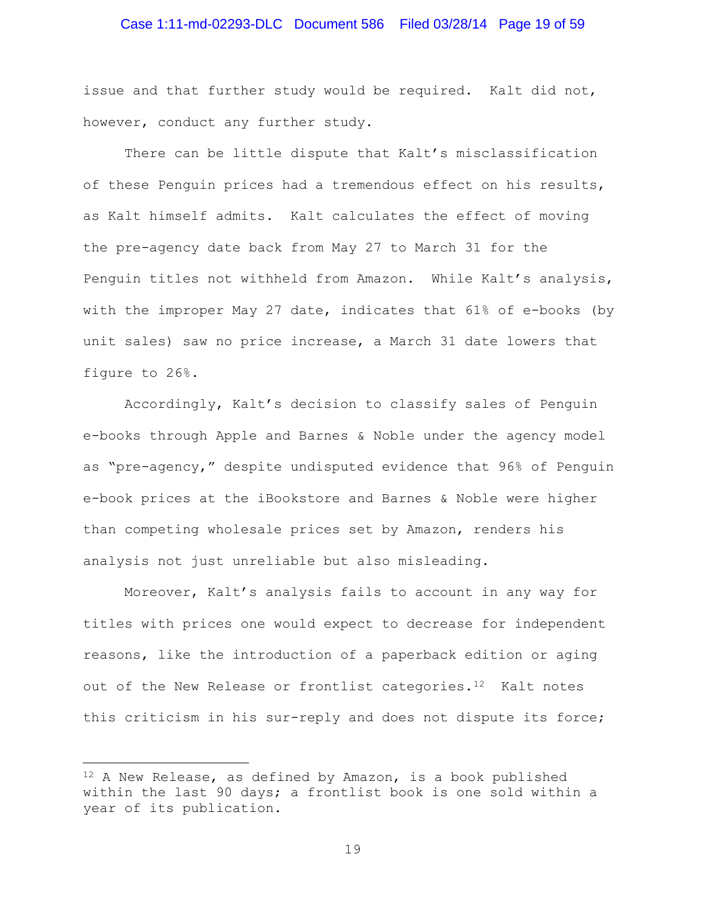### Case 1:11-md-02293-DLC Document 586 Filed 03/28/14 Page 19 of 59

issue and that further study would be required. Kalt did not, however, conduct any further study.

There can be little dispute that Kalt's misclassification of these Penguin prices had a tremendous effect on his results, as Kalt himself admits. Kalt calculates the effect of moving the pre-agency date back from May 27 to March 31 for the Penguin titles not withheld from Amazon. While Kalt's analysis, with the improper May 27 date, indicates that 61% of e-books (by unit sales) saw no price increase, a March 31 date lowers that figure to 26%.

Accordingly, Kalt's decision to classify sales of Penguin e-books through Apple and Barnes & Noble under the agency model as "pre-agency," despite undisputed evidence that 96% of Penguin e-book prices at the iBookstore and Barnes & Noble were higher than competing wholesale prices set by Amazon, renders his analysis not just unreliable but also misleading.

Moreover, Kalt's analysis fails to account in any way for titles with prices one would expect to decrease for independent reasons, like the introduction of a paperback edition or aging out of the New Release or frontlist categories.<sup>[12](#page-18-0)</sup> Kalt notes this criticism in his sur-reply and does not dispute its force;

 $\overline{\phantom{a}}$ 

<span id="page-18-0"></span> $12$  A New Release, as defined by Amazon, is a book published within the last 90 days; a frontlist book is one sold within a year of its publication.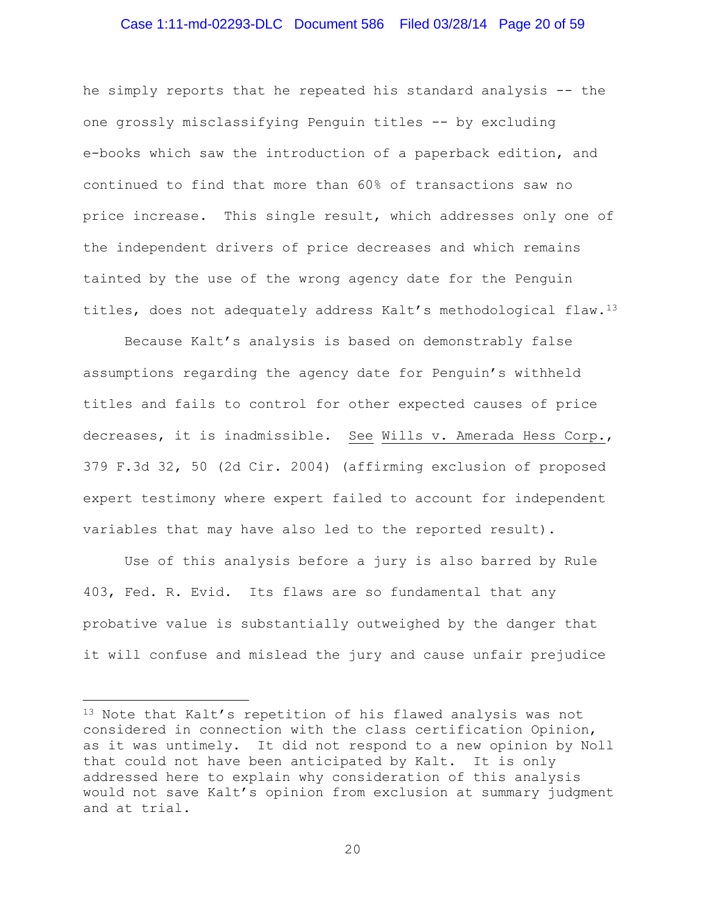### Case 1:11-md-02293-DLC Document 586 Filed 03/28/14 Page 20 of 59

he simply reports that he repeated his standard analysis -- the one grossly misclassifying Penguin titles -- by excluding e-books which saw the introduction of a paperback edition, and continued to find that more than 60% of transactions saw no price increase. This single result, which addresses only one of the independent drivers of price decreases and which remains tainted by the use of the wrong agency date for the Penguin titles, does not adequately address Kalt's methodological flaw.[13](#page-19-0)

Because Kalt's analysis is based on demonstrably false assumptions regarding the agency date for Penguin's withheld titles and fails to control for other expected causes of price decreases, it is inadmissible. See Wills v. Amerada Hess Corp., 379 F.3d 32, 50 (2d Cir. 2004) (affirming exclusion of proposed expert testimony where expert failed to account for independent variables that may have also led to the reported result).

Use of this analysis before a jury is also barred by Rule 403, Fed. R. Evid. Its flaws are so fundamental that any probative value is substantially outweighed by the danger that it will confuse and mislead the jury and cause unfair prejudice

l

<span id="page-19-0"></span><sup>13</sup> Note that Kalt's repetition of his flawed analysis was not considered in connection with the class certification Opinion, as it was untimely. It did not respond to a new opinion by Noll that could not have been anticipated by Kalt. It is only addressed here to explain why consideration of this analysis would not save Kalt's opinion from exclusion at summary judgment and at trial.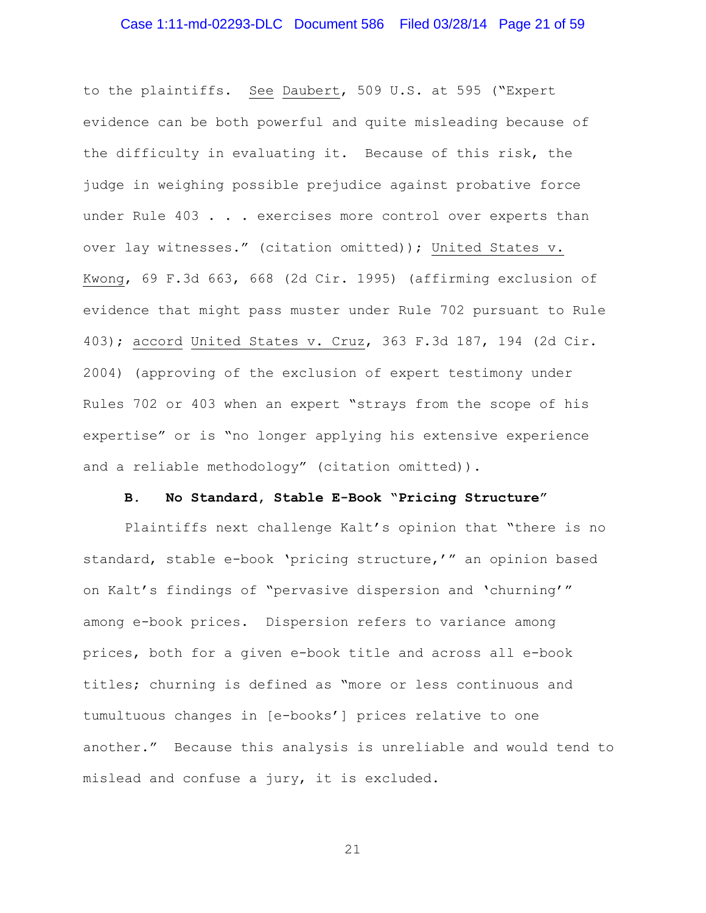# Case 1:11-md-02293-DLC Document 586 Filed 03/28/14 Page 21 of 59

to the plaintiffs. See Daubert, 509 U.S. at 595 ("Expert evidence can be both powerful and quite misleading because of the difficulty in evaluating it. Because of this risk, the judge in weighing possible prejudice against probative force under Rule 403 . . . exercises more control over experts than over lay witnesses." (citation omitted)); United States v. Kwong, 69 F.3d 663, 668 (2d Cir. 1995) (affirming exclusion of evidence that might pass muster under Rule 702 pursuant to Rule 403); accord United States v. Cruz, 363 F.3d 187, 194 (2d Cir. 2004) (approving of the exclusion of expert testimony under Rules 702 or 403 when an expert "strays from the scope of his expertise" or is "no longer applying his extensive experience and a reliable methodology" (citation omitted)).

### **B. No Standard, Stable E-Book "Pricing Structure"**

Plaintiffs next challenge Kalt's opinion that "there is no standard, stable e-book 'pricing structure,'" an opinion based on Kalt's findings of "pervasive dispersion and 'churning'" among e-book prices. Dispersion refers to variance among prices, both for a given e-book title and across all e-book titles; churning is defined as "more or less continuous and tumultuous changes in [e-books'] prices relative to one another." Because this analysis is unreliable and would tend to mislead and confuse a jury, it is excluded.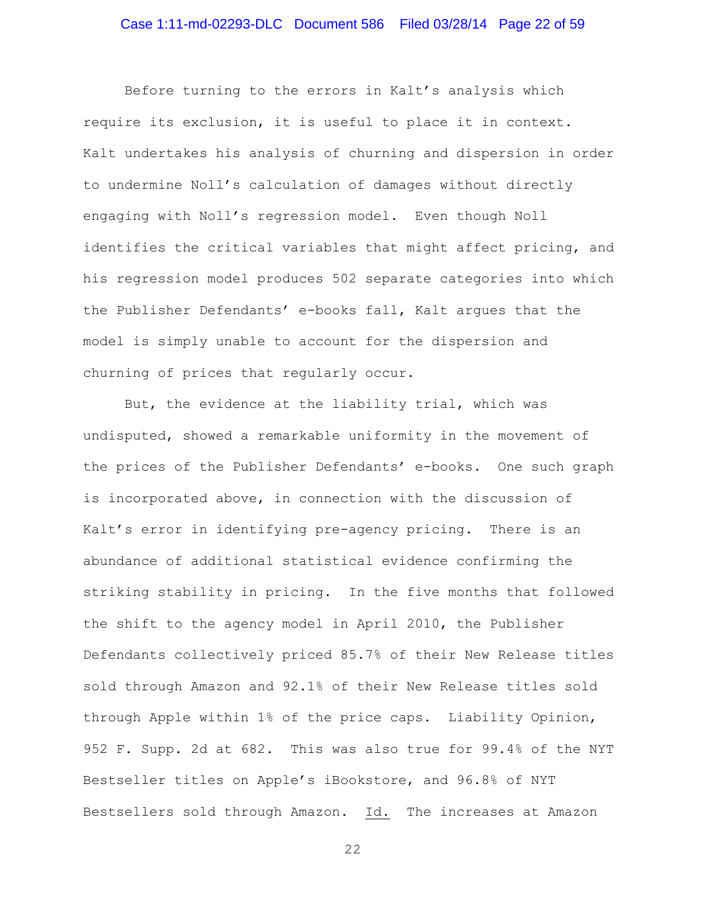### Case 1:11-md-02293-DLC Document 586 Filed 03/28/14 Page 22 of 59

Before turning to the errors in Kalt's analysis which require its exclusion, it is useful to place it in context. Kalt undertakes his analysis of churning and dispersion in order to undermine Noll's calculation of damages without directly engaging with Noll's regression model. Even though Noll identifies the critical variables that might affect pricing, and his regression model produces 502 separate categories into which the Publisher Defendants' e-books fall, Kalt argues that the model is simply unable to account for the dispersion and churning of prices that regularly occur.

But, the evidence at the liability trial, which was undisputed, showed a remarkable uniformity in the movement of the prices of the Publisher Defendants' e-books. One such graph is incorporated above, in connection with the discussion of Kalt's error in identifying pre-agency pricing. There is an abundance of additional statistical evidence confirming the striking stability in pricing. In the five months that followed the shift to the agency model in April 2010, the Publisher Defendants collectively priced 85.7% of their New Release titles sold through Amazon and 92.1% of their New Release titles sold through Apple within 1% of the price caps. Liability Opinion, 952 F. Supp. 2d at 682. This was also true for 99.4% of the NYT Bestseller titles on Apple's iBookstore, and 96.8% of NYT Bestsellers sold through Amazon. Id. The increases at Amazon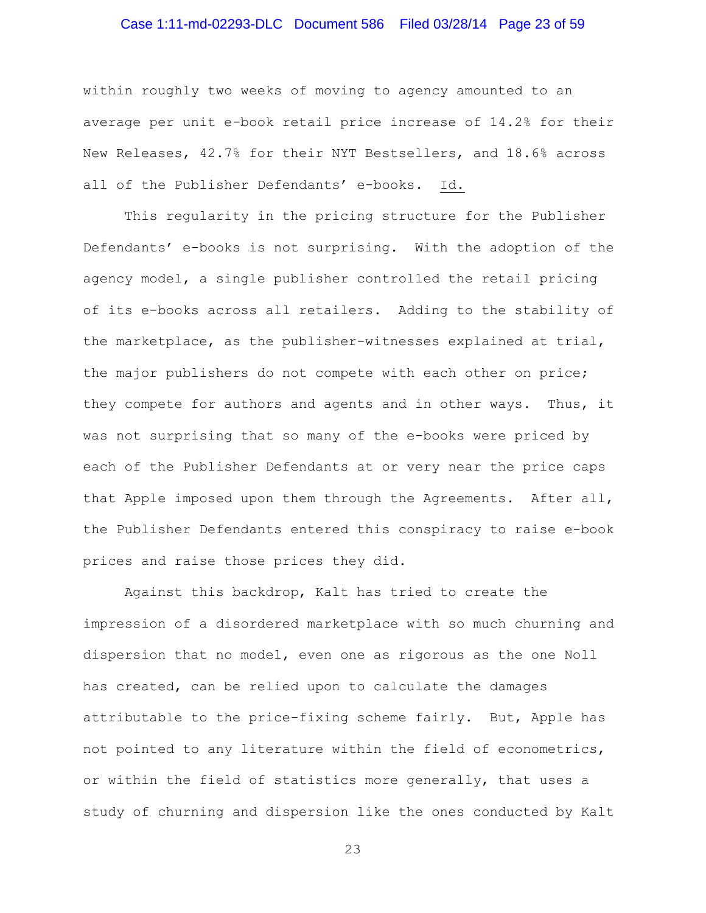# Case 1:11-md-02293-DLC Document 586 Filed 03/28/14 Page 23 of 59

within roughly two weeks of moving to agency amounted to an average per unit e-book retail price increase of 14.2% for their New Releases, 42.7% for their NYT Bestsellers, and 18.6% across all of the Publisher Defendants' e-books. Id.

This regularity in the pricing structure for the Publisher Defendants' e-books is not surprising. With the adoption of the agency model, a single publisher controlled the retail pricing of its e-books across all retailers. Adding to the stability of the marketplace, as the publisher-witnesses explained at trial, the major publishers do not compete with each other on price; they compete for authors and agents and in other ways. Thus, it was not surprising that so many of the e-books were priced by each of the Publisher Defendants at or very near the price caps that Apple imposed upon them through the Agreements. After all, the Publisher Defendants entered this conspiracy to raise e-book prices and raise those prices they did.

Against this backdrop, Kalt has tried to create the impression of a disordered marketplace with so much churning and dispersion that no model, even one as rigorous as the one Noll has created, can be relied upon to calculate the damages attributable to the price-fixing scheme fairly. But, Apple has not pointed to any literature within the field of econometrics, or within the field of statistics more generally, that uses a study of churning and dispersion like the ones conducted by Kalt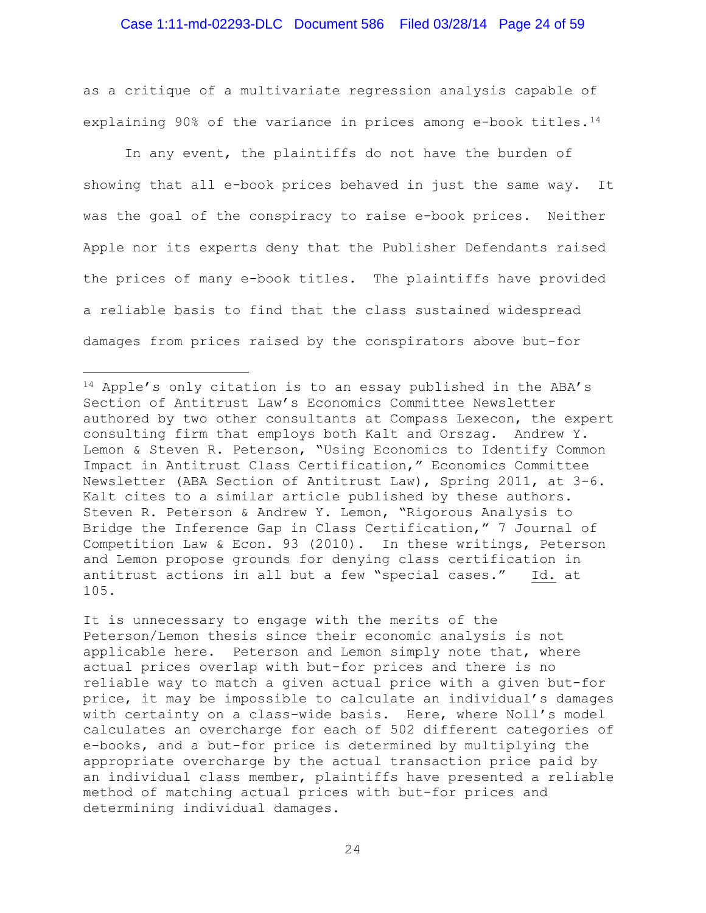as a critique of a multivariate regression analysis capable of explaining 90% of the variance in prices among e-book titles.[14](#page-23-0)

In any event, the plaintiffs do not have the burden of showing that all e-book prices behaved in just the same way. It was the goal of the conspiracy to raise e-book prices. Neither Apple nor its experts deny that the Publisher Defendants raised the prices of many e-book titles. The plaintiffs have provided a reliable basis to find that the class sustained widespread damages from prices raised by the conspirators above but-for

l

It is unnecessary to engage with the merits of the Peterson/Lemon thesis since their economic analysis is not applicable here. Peterson and Lemon simply note that, where actual prices overlap with but-for prices and there is no reliable way to match a given actual price with a given but-for price, it may be impossible to calculate an individual's damages with certainty on a class-wide basis. Here, where Noll's model calculates an overcharge for each of 502 different categories of e-books, and a but-for price is determined by multiplying the appropriate overcharge by the actual transaction price paid by an individual class member, plaintiffs have presented a reliable method of matching actual prices with but-for prices and determining individual damages.

<span id="page-23-0"></span><sup>14</sup> Apple's only citation is to an essay published in the ABA's Section of Antitrust Law's Economics Committee Newsletter authored by two other consultants at Compass Lexecon, the expert consulting firm that employs both Kalt and Orszag. Andrew Y. Lemon & Steven R. Peterson, "Using Economics to Identify Common Impact in Antitrust Class Certification," Economics Committee Newsletter (ABA Section of Antitrust Law), Spring 2011, at 3-6. Kalt cites to a similar article published by these authors. Steven R. Peterson & Andrew Y. Lemon, "Rigorous Analysis to Bridge the Inference Gap in Class Certification," 7 Journal of Competition Law & Econ. 93 (2010). In these writings, Peterson and Lemon propose grounds for denying class certification in antitrust actions in all but a few "special cases." Id. at 105.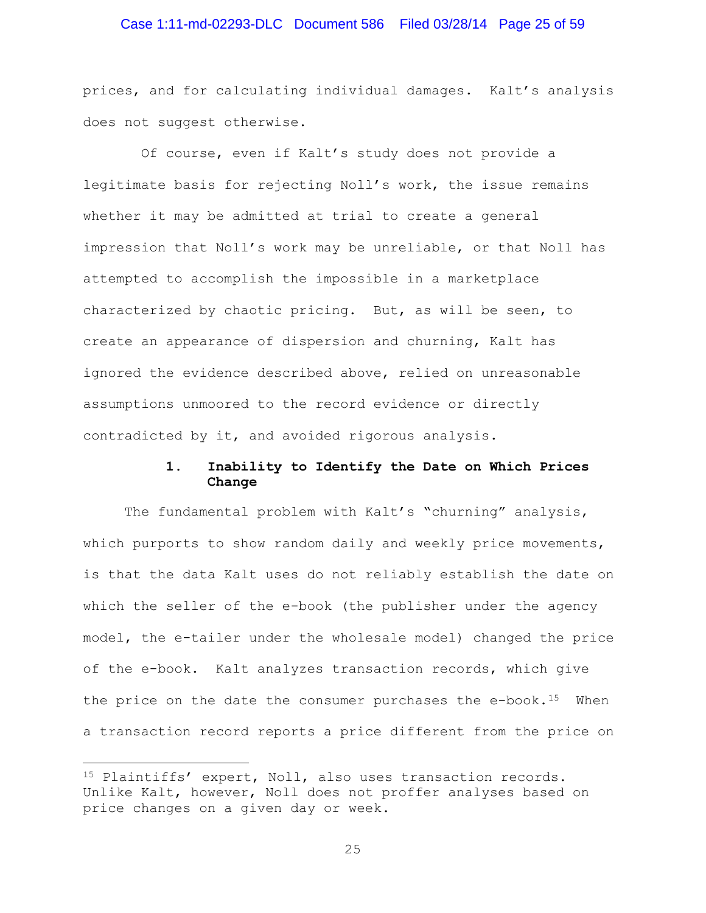### Case 1:11-md-02293-DLC Document 586 Filed 03/28/14 Page 25 of 59

prices, and for calculating individual damages. Kalt's analysis does not suggest otherwise.

 Of course, even if Kalt's study does not provide a legitimate basis for rejecting Noll's work, the issue remains whether it may be admitted at trial to create a general impression that Noll's work may be unreliable, or that Noll has attempted to accomplish the impossible in a marketplace characterized by chaotic pricing. But, as will be seen, to create an appearance of dispersion and churning, Kalt has ignored the evidence described above, relied on unreasonable assumptions unmoored to the record evidence or directly contradicted by it, and avoided rigorous analysis.

### **1. Inability to Identify the Date on Which Prices Change**

The fundamental problem with Kalt's "churning" analysis, which purports to show random daily and weekly price movements, is that the data Kalt uses do not reliably establish the date on which the seller of the e-book (the publisher under the agency model, the e-tailer under the wholesale model) changed the price of the e-book. Kalt analyzes transaction records, which give the price on the date the consumer purchases the  $e$ -book.<sup>[15](#page-24-0)</sup> When a transaction record reports a price different from the price on

 $\overline{\phantom{a}}$ 

<span id="page-24-0"></span><sup>15</sup> Plaintiffs' expert, Noll, also uses transaction records. Unlike Kalt, however, Noll does not proffer analyses based on price changes on a given day or week.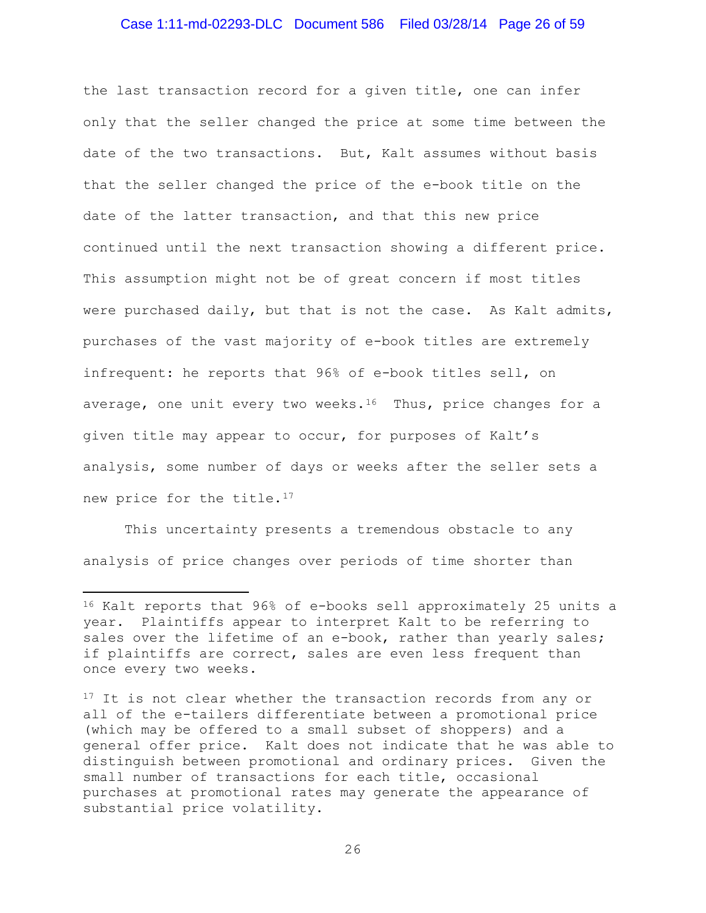### Case 1:11-md-02293-DLC Document 586 Filed 03/28/14 Page 26 of 59

the last transaction record for a given title, one can infer only that the seller changed the price at some time between the date of the two transactions. But, Kalt assumes without basis that the seller changed the price of the e-book title on the date of the latter transaction, and that this new price continued until the next transaction showing a different price. This assumption might not be of great concern if most titles were purchased daily, but that is not the case. As Kalt admits, purchases of the vast majority of e-book titles are extremely infrequent: he reports that 96% of e-book titles sell, on average, one unit every two weeks.<sup>16</sup> Thus, price changes for a given title may appear to occur, for purposes of Kalt's analysis, some number of days or weeks after the seller sets a new price for the title.<sup>[17](#page-25-1)</sup>

This uncertainty presents a tremendous obstacle to any analysis of price changes over periods of time shorter than

l

<span id="page-25-0"></span><sup>16</sup> Kalt reports that 96% of e-books sell approximately 25 units a year. Plaintiffs appear to interpret Kalt to be referring to sales over the lifetime of an e-book, rather than yearly sales; if plaintiffs are correct, sales are even less frequent than once every two weeks.

<span id="page-25-1"></span><sup>&</sup>lt;sup>17</sup> It is not clear whether the transaction records from any or all of the e-tailers differentiate between a promotional price (which may be offered to a small subset of shoppers) and a general offer price. Kalt does not indicate that he was able to distinguish between promotional and ordinary prices. Given the small number of transactions for each title, occasional purchases at promotional rates may generate the appearance of substantial price volatility.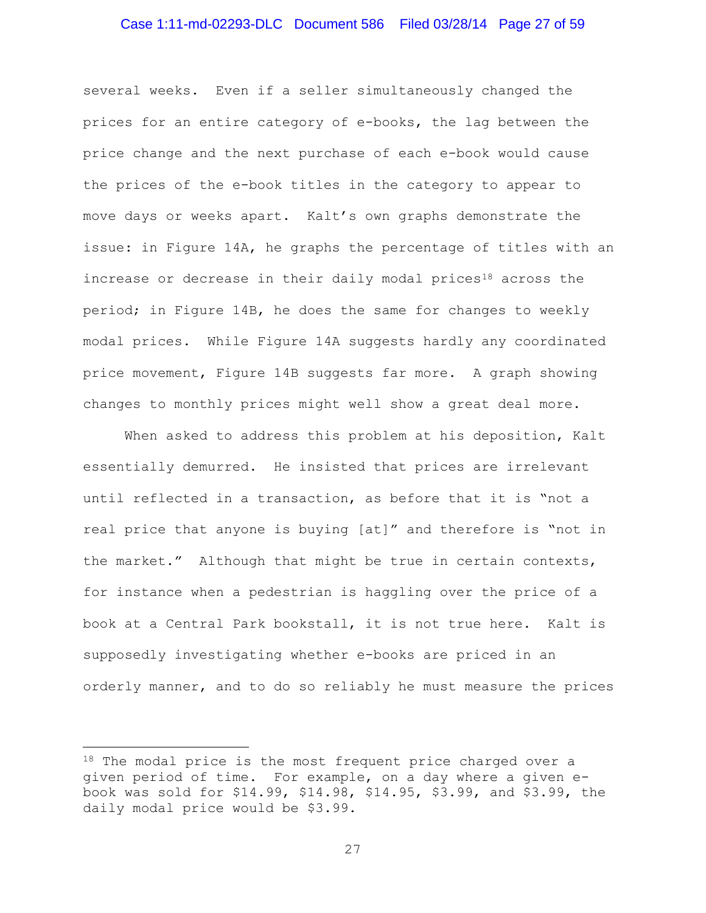### Case 1:11-md-02293-DLC Document 586 Filed 03/28/14 Page 27 of 59

several weeks. Even if a seller simultaneously changed the prices for an entire category of e-books, the lag between the price change and the next purchase of each e-book would cause the prices of the e-book titles in the category to appear to move days or weeks apart. Kalt's own graphs demonstrate the issue: in Figure 14A, he graphs the percentage of titles with an increase or decrease in their daily modal prices<sup>18</sup> across the period; in Figure 14B, he does the same for changes to weekly modal prices. While Figure 14A suggests hardly any coordinated price movement, Figure 14B suggests far more. A graph showing changes to monthly prices might well show a great deal more.

When asked to address this problem at his deposition, Kalt essentially demurred. He insisted that prices are irrelevant until reflected in a transaction, as before that it is "not a real price that anyone is buying [at]" and therefore is "not in the market." Although that might be true in certain contexts, for instance when a pedestrian is haggling over the price of a book at a Central Park bookstall, it is not true here. Kalt is supposedly investigating whether e-books are priced in an orderly manner, and to do so reliably he must measure the prices

 $\overline{\phantom{a}}$ 

<span id="page-26-0"></span><sup>&</sup>lt;sup>18</sup> The modal price is the most frequent price charged over a given period of time. For example, on a day where a given ebook was sold for \$14.99, \$14.98, \$14.95, \$3.99, and \$3.99, the daily modal price would be \$3.99.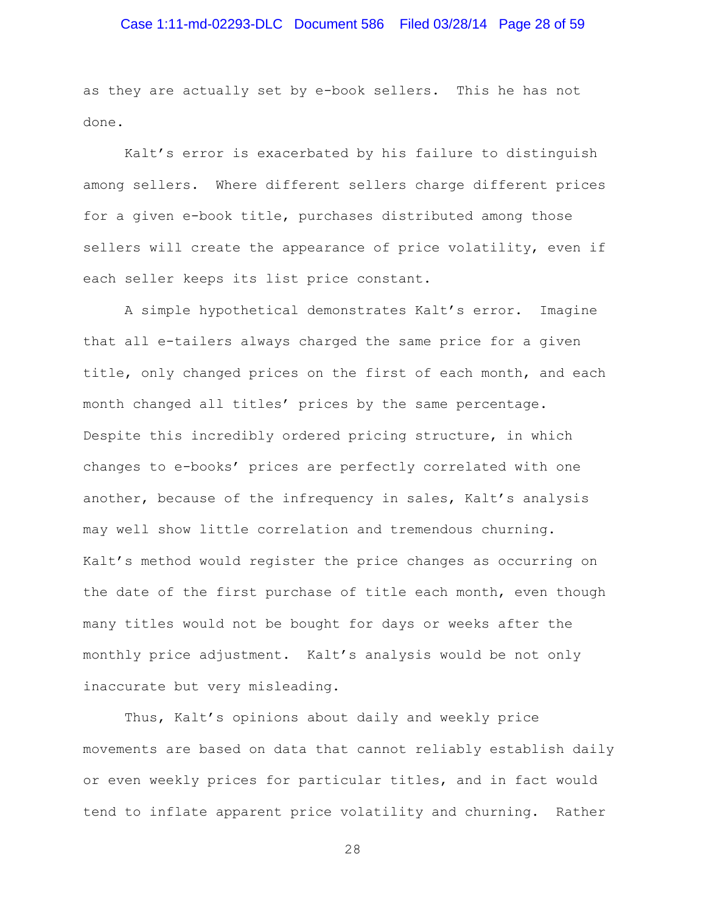# Case 1:11-md-02293-DLC Document 586 Filed 03/28/14 Page 28 of 59

as they are actually set by e-book sellers. This he has not done.

Kalt's error is exacerbated by his failure to distinguish among sellers. Where different sellers charge different prices for a given e-book title, purchases distributed among those sellers will create the appearance of price volatility, even if each seller keeps its list price constant.

A simple hypothetical demonstrates Kalt's error. Imagine that all e-tailers always charged the same price for a given title, only changed prices on the first of each month, and each month changed all titles' prices by the same percentage. Despite this incredibly ordered pricing structure, in which changes to e-books' prices are perfectly correlated with one another, because of the infrequency in sales, Kalt's analysis may well show little correlation and tremendous churning. Kalt's method would register the price changes as occurring on the date of the first purchase of title each month, even though many titles would not be bought for days or weeks after the monthly price adjustment. Kalt's analysis would be not only inaccurate but very misleading.

Thus, Kalt's opinions about daily and weekly price movements are based on data that cannot reliably establish daily or even weekly prices for particular titles, and in fact would tend to inflate apparent price volatility and churning. Rather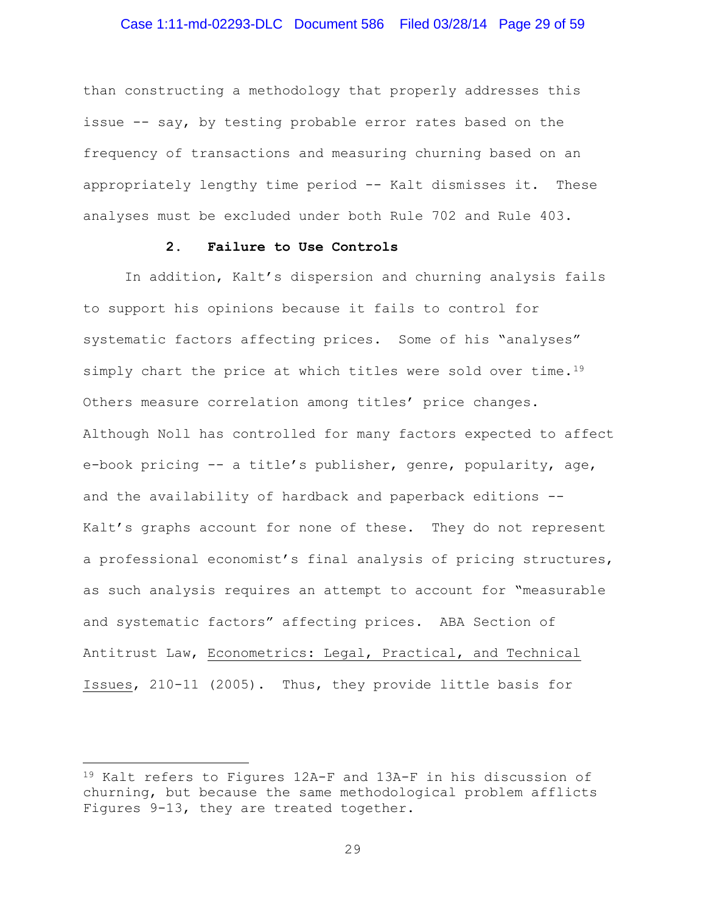### Case 1:11-md-02293-DLC Document 586 Filed 03/28/14 Page 29 of 59

than constructing a methodology that properly addresses this issue -- say, by testing probable error rates based on the frequency of transactions and measuring churning based on an appropriately lengthy time period -- Kalt dismisses it. These analyses must be excluded under both Rule 702 and Rule 403.

### **2. Failure to Use Controls**

In addition, Kalt's dispersion and churning analysis fails to support his opinions because it fails to control for systematic factors affecting prices. Some of his "analyses" simply chart the price at which titles were sold over time.<sup>19</sup> Others measure correlation among titles' price changes. Although Noll has controlled for many factors expected to affect e-book pricing -- a title's publisher, genre, popularity, age, and the availability of hardback and paperback editions -- Kalt's graphs account for none of these. They do not represent a professional economist's final analysis of pricing structures, as such analysis requires an attempt to account for "measurable and systematic factors" affecting prices. ABA Section of Antitrust Law, Econometrics: Legal, Practical, and Technical Issues, 210-11 (2005). Thus, they provide little basis for

 $\overline{\phantom{a}}$ 

<span id="page-28-0"></span><sup>19</sup> Kalt refers to Figures 12A-F and 13A-F in his discussion of churning, but because the same methodological problem afflicts Figures 9-13, they are treated together.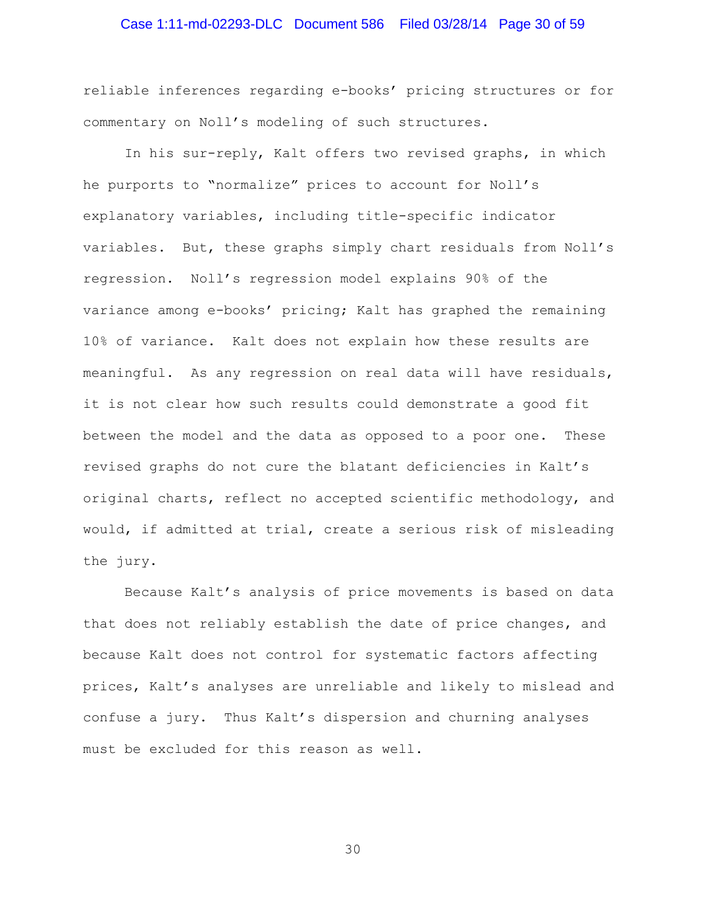# Case 1:11-md-02293-DLC Document 586 Filed 03/28/14 Page 30 of 59

reliable inferences regarding e-books' pricing structures or for commentary on Noll's modeling of such structures.

In his sur-reply, Kalt offers two revised graphs, in which he purports to "normalize" prices to account for Noll's explanatory variables, including title-specific indicator variables. But, these graphs simply chart residuals from Noll's regression. Noll's regression model explains 90% of the variance among e-books' pricing; Kalt has graphed the remaining 10% of variance. Kalt does not explain how these results are meaningful. As any regression on real data will have residuals, it is not clear how such results could demonstrate a good fit between the model and the data as opposed to a poor one. These revised graphs do not cure the blatant deficiencies in Kalt's original charts, reflect no accepted scientific methodology, and would, if admitted at trial, create a serious risk of misleading the jury.

Because Kalt's analysis of price movements is based on data that does not reliably establish the date of price changes, and because Kalt does not control for systematic factors affecting prices, Kalt's analyses are unreliable and likely to mislead and confuse a jury. Thus Kalt's dispersion and churning analyses must be excluded for this reason as well.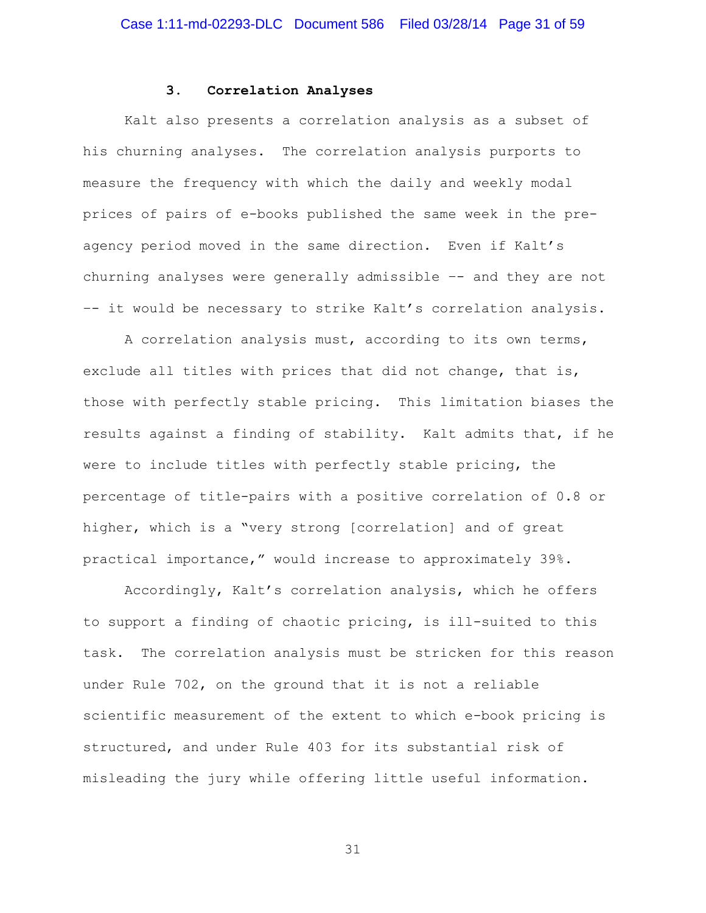#### **3. Correlation Analyses**

Kalt also presents a correlation analysis as a subset of his churning analyses. The correlation analysis purports to measure the frequency with which the daily and weekly modal prices of pairs of e-books published the same week in the preagency period moved in the same direction. Even if Kalt's churning analyses were generally admissible –- and they are not –- it would be necessary to strike Kalt's correlation analysis.

A correlation analysis must, according to its own terms, exclude all titles with prices that did not change, that is, those with perfectly stable pricing. This limitation biases the results against a finding of stability. Kalt admits that, if he were to include titles with perfectly stable pricing, the percentage of title-pairs with a positive correlation of 0.8 or higher, which is a "very strong [correlation] and of great practical importance," would increase to approximately 39%.

Accordingly, Kalt's correlation analysis, which he offers to support a finding of chaotic pricing, is ill-suited to this task. The correlation analysis must be stricken for this reason under Rule 702, on the ground that it is not a reliable scientific measurement of the extent to which e-book pricing is structured, and under Rule 403 for its substantial risk of misleading the jury while offering little useful information.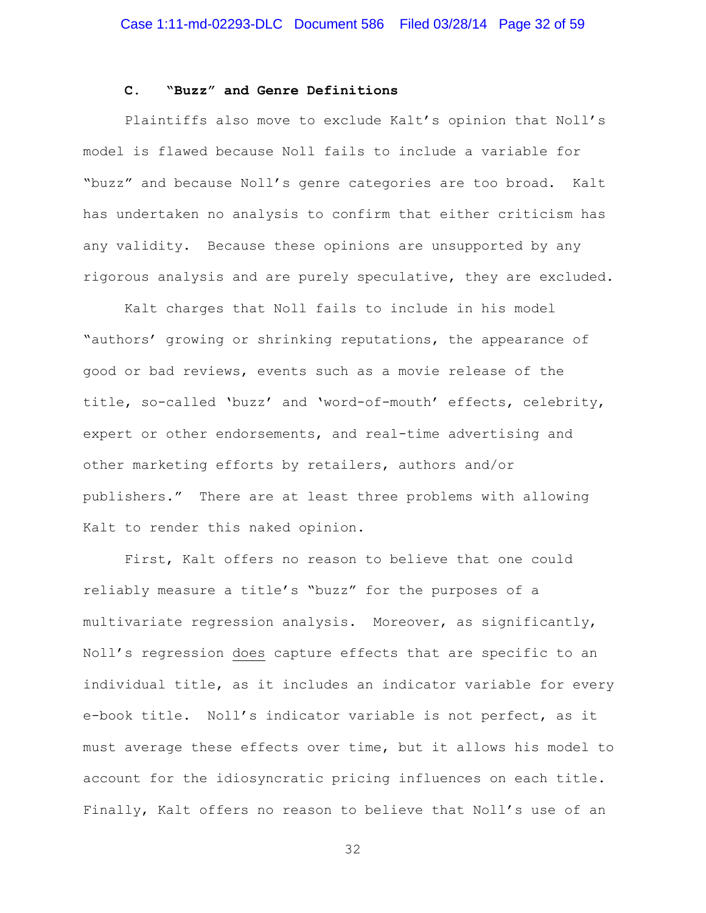#### **C. "Buzz" and Genre Definitions**

Plaintiffs also move to exclude Kalt's opinion that Noll's model is flawed because Noll fails to include a variable for "buzz" and because Noll's genre categories are too broad. Kalt has undertaken no analysis to confirm that either criticism has any validity. Because these opinions are unsupported by any rigorous analysis and are purely speculative, they are excluded.

Kalt charges that Noll fails to include in his model "authors' growing or shrinking reputations, the appearance of good or bad reviews, events such as a movie release of the title, so-called 'buzz' and 'word-of-mouth' effects, celebrity, expert or other endorsements, and real-time advertising and other marketing efforts by retailers, authors and/or publishers." There are at least three problems with allowing Kalt to render this naked opinion.

First, Kalt offers no reason to believe that one could reliably measure a title's "buzz" for the purposes of a multivariate regression analysis. Moreover, as significantly, Noll's regression does capture effects that are specific to an individual title, as it includes an indicator variable for every e-book title. Noll's indicator variable is not perfect, as it must average these effects over time, but it allows his model to account for the idiosyncratic pricing influences on each title. Finally, Kalt offers no reason to believe that Noll's use of an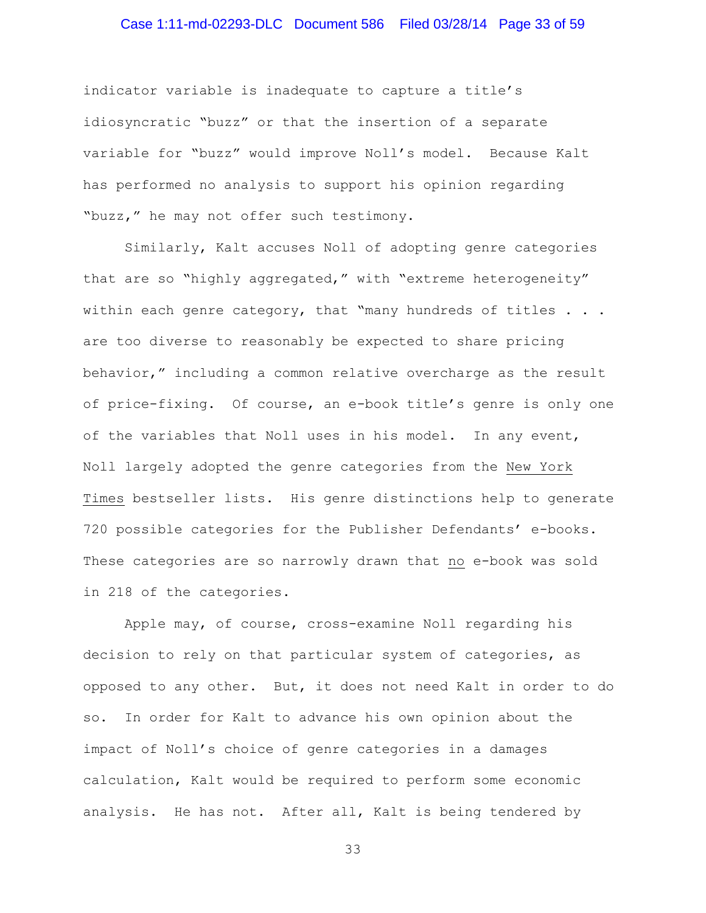### Case 1:11-md-02293-DLC Document 586 Filed 03/28/14 Page 33 of 59

indicator variable is inadequate to capture a title's idiosyncratic "buzz" or that the insertion of a separate variable for "buzz" would improve Noll's model. Because Kalt has performed no analysis to support his opinion regarding "buzz," he may not offer such testimony.

Similarly, Kalt accuses Noll of adopting genre categories that are so "highly aggregated," with "extreme heterogeneity" within each genre category, that "many hundreds of titles . . . are too diverse to reasonably be expected to share pricing behavior," including a common relative overcharge as the result of price-fixing. Of course, an e-book title's genre is only one of the variables that Noll uses in his model. In any event, Noll largely adopted the genre categories from the New York Times bestseller lists. His genre distinctions help to generate 720 possible categories for the Publisher Defendants' e-books. These categories are so narrowly drawn that no e-book was sold in 218 of the categories.

Apple may, of course, cross-examine Noll regarding his decision to rely on that particular system of categories, as opposed to any other. But, it does not need Kalt in order to do so. In order for Kalt to advance his own opinion about the impact of Noll's choice of genre categories in a damages calculation, Kalt would be required to perform some economic analysis. He has not. After all, Kalt is being tendered by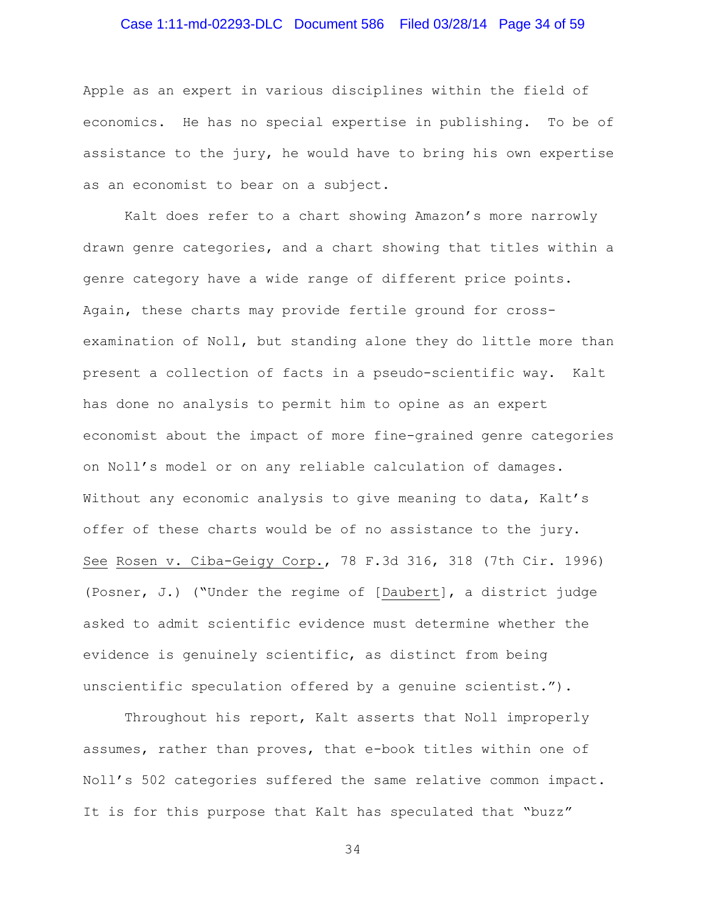# Case 1:11-md-02293-DLC Document 586 Filed 03/28/14 Page 34 of 59

Apple as an expert in various disciplines within the field of economics. He has no special expertise in publishing. To be of assistance to the jury, he would have to bring his own expertise as an economist to bear on a subject.

Kalt does refer to a chart showing Amazon's more narrowly drawn genre categories, and a chart showing that titles within a genre category have a wide range of different price points. Again, these charts may provide fertile ground for crossexamination of Noll, but standing alone they do little more than present a collection of facts in a pseudo-scientific way. Kalt has done no analysis to permit him to opine as an expert economist about the impact of more fine-grained genre categories on Noll's model or on any reliable calculation of damages. Without any economic analysis to give meaning to data, Kalt's offer of these charts would be of no assistance to the jury. See Rosen v. Ciba-Geigy Corp., 78 F.3d 316, 318 (7th Cir. 1996) (Posner, J.) ("Under the regime of [Daubert], a district judge asked to admit scientific evidence must determine whether the evidence is genuinely scientific, as distinct from being unscientific speculation offered by a genuine scientist.").

Throughout his report, Kalt asserts that Noll improperly assumes, rather than proves, that e-book titles within one of Noll's 502 categories suffered the same relative common impact. It is for this purpose that Kalt has speculated that "buzz"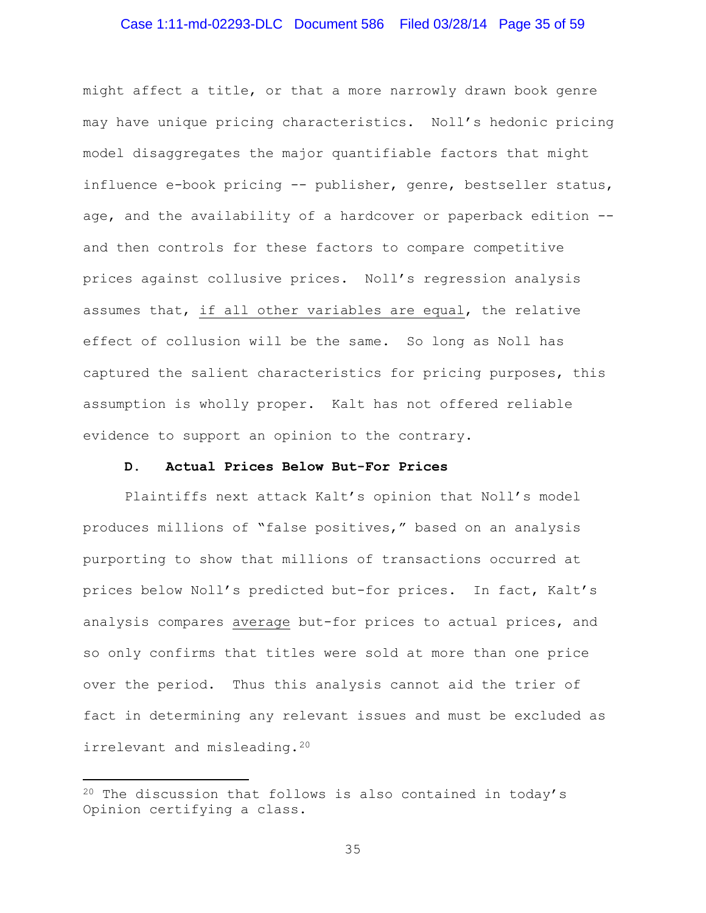### Case 1:11-md-02293-DLC Document 586 Filed 03/28/14 Page 35 of 59

might affect a title, or that a more narrowly drawn book genre may have unique pricing characteristics. Noll's hedonic pricing model disaggregates the major quantifiable factors that might influence e-book pricing -- publisher, genre, bestseller status, age, and the availability of a hardcover or paperback edition - and then controls for these factors to compare competitive prices against collusive prices. Noll's regression analysis assumes that, if all other variables are equal, the relative effect of collusion will be the same. So long as Noll has captured the salient characteristics for pricing purposes, this assumption is wholly proper. Kalt has not offered reliable evidence to support an opinion to the contrary.

#### **D. Actual Prices Below But-For Prices**

Plaintiffs next attack Kalt's opinion that Noll's model produces millions of "false positives," based on an analysis purporting to show that millions of transactions occurred at prices below Noll's predicted but-for prices. In fact, Kalt's analysis compares average but-for prices to actual prices, and so only confirms that titles were sold at more than one price over the period. Thus this analysis cannot aid the trier of fact in determining any relevant issues and must be excluded as irrelevant and misleading.[20](#page-34-0)

l

<span id="page-34-0"></span> $20$  The discussion that follows is also contained in today's Opinion certifying a class.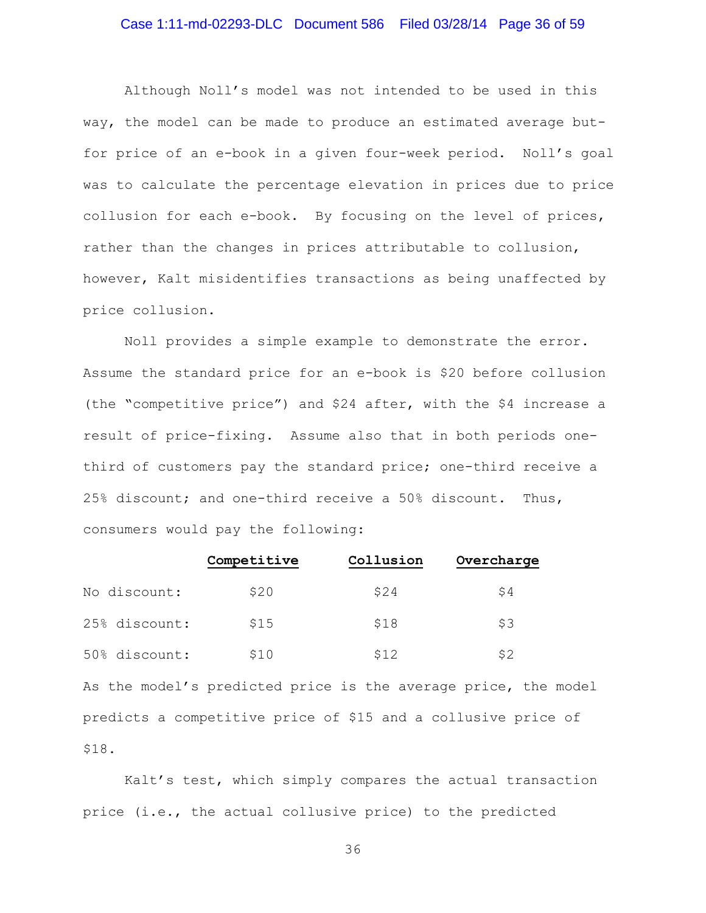### Case 1:11-md-02293-DLC Document 586 Filed 03/28/14 Page 36 of 59

Although Noll's model was not intended to be used in this way, the model can be made to produce an estimated average butfor price of an e-book in a given four-week period. Noll's goal was to calculate the percentage elevation in prices due to price collusion for each e-book. By focusing on the level of prices, rather than the changes in prices attributable to collusion, however, Kalt misidentifies transactions as being unaffected by price collusion.

Noll provides a simple example to demonstrate the error. Assume the standard price for an e-book is \$20 before collusion (the "competitive price") and \$24 after, with the \$4 increase a result of price-fixing. Assume also that in both periods onethird of customers pay the standard price; one-third receive a 25% discount; and one-third receive a 50% discount. Thus, consumers would pay the following:

|               | Competitive | Collusion | Overcharge |
|---------------|-------------|-----------|------------|
| No discount:  | \$20        | \$24      | \$4        |
| 25% discount: | \$15        | \$18      | \$3        |
| 50% discount: | \$10        | \$12      | \$2        |

As the model's predicted price is the average price, the model predicts a competitive price of \$15 and a collusive price of \$18.

Kalt's test, which simply compares the actual transaction price (i.e., the actual collusive price) to the predicted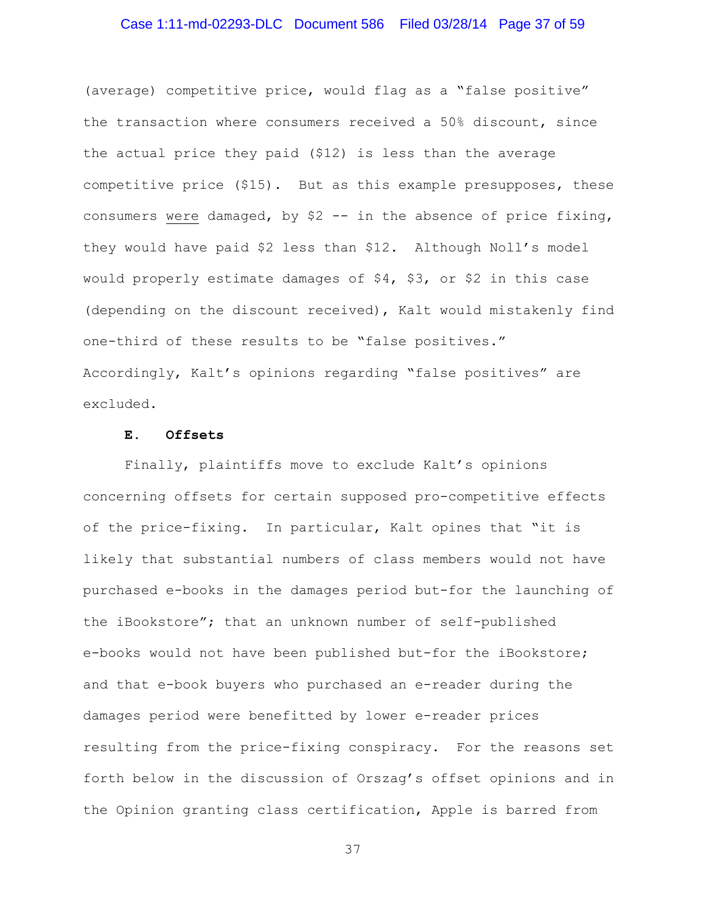### Case 1:11-md-02293-DLC Document 586 Filed 03/28/14 Page 37 of 59

(average) competitive price, would flag as a "false positive" the transaction where consumers received a 50% discount, since the actual price they paid (\$12) is less than the average competitive price (\$15). But as this example presupposes, these consumers were damaged, by \$2 -- in the absence of price fixing, they would have paid \$2 less than \$12. Although Noll's model would properly estimate damages of \$4, \$3, or \$2 in this case (depending on the discount received), Kalt would mistakenly find one-third of these results to be "false positives." Accordingly, Kalt's opinions regarding "false positives" are excluded.

#### **E. Offsets**

Finally, plaintiffs move to exclude Kalt's opinions concerning offsets for certain supposed pro-competitive effects of the price-fixing. In particular, Kalt opines that "it is likely that substantial numbers of class members would not have purchased e-books in the damages period but-for the launching of the iBookstore"; that an unknown number of self-published e-books would not have been published but-for the iBookstore; and that e-book buyers who purchased an e-reader during the damages period were benefitted by lower e-reader prices resulting from the price-fixing conspiracy. For the reasons set forth below in the discussion of Orszag's offset opinions and in the Opinion granting class certification, Apple is barred from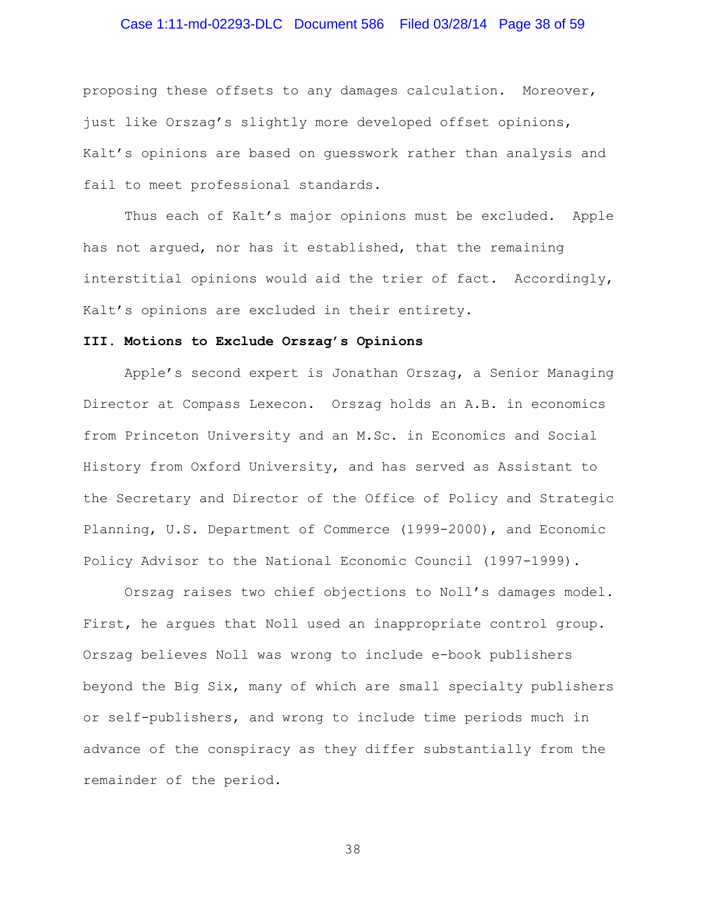# Case 1:11-md-02293-DLC Document 586 Filed 03/28/14 Page 38 of 59

proposing these offsets to any damages calculation. Moreover, just like Orszag's slightly more developed offset opinions, Kalt's opinions are based on guesswork rather than analysis and fail to meet professional standards.

Thus each of Kalt's major opinions must be excluded. Apple has not argued, nor has it established, that the remaining interstitial opinions would aid the trier of fact. Accordingly, Kalt's opinions are excluded in their entirety.

#### **III. Motions to Exclude Orszag's Opinions**

Apple's second expert is Jonathan Orszag, a Senior Managing Director at Compass Lexecon. Orszag holds an A.B. in economics from Princeton University and an M.Sc. in Economics and Social History from Oxford University, and has served as Assistant to the Secretary and Director of the Office of Policy and Strategic Planning, U.S. Department of Commerce (1999-2000), and Economic Policy Advisor to the National Economic Council (1997-1999).

Orszag raises two chief objections to Noll's damages model. First, he argues that Noll used an inappropriate control group. Orszag believes Noll was wrong to include e-book publishers beyond the Big Six, many of which are small specialty publishers or self-publishers, and wrong to include time periods much in advance of the conspiracy as they differ substantially from the remainder of the period.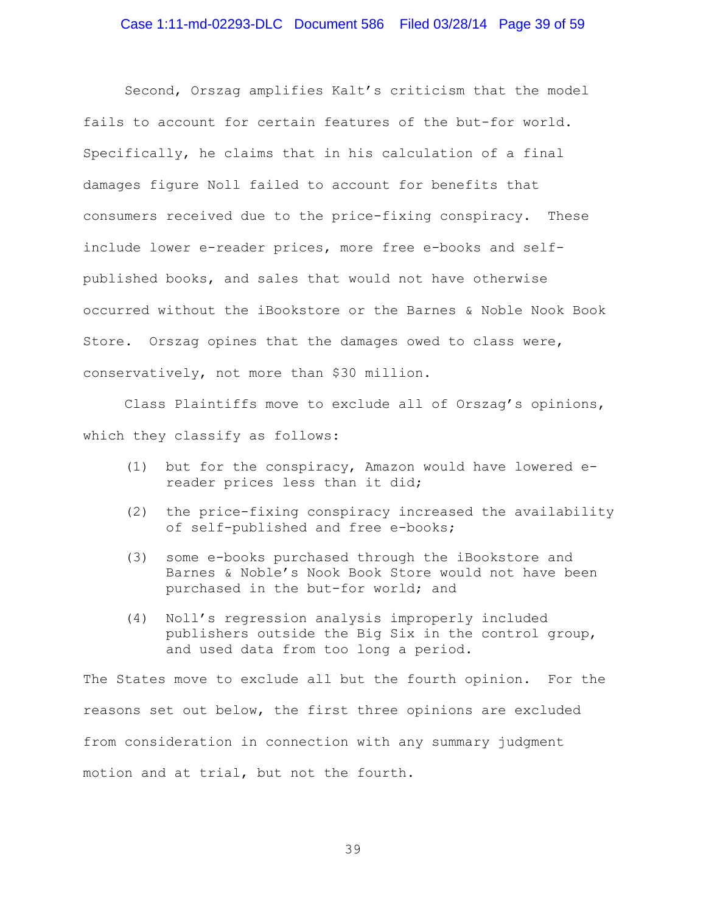Second, Orszag amplifies Kalt's criticism that the model fails to account for certain features of the but-for world. Specifically, he claims that in his calculation of a final damages figure Noll failed to account for benefits that consumers received due to the price-fixing conspiracy. These include lower e-reader prices, more free e-books and selfpublished books, and sales that would not have otherwise occurred without the iBookstore or the Barnes & Noble Nook Book Store. Orszag opines that the damages owed to class were, conservatively, not more than \$30 million.

Class Plaintiffs move to exclude all of Orszag's opinions, which they classify as follows:

- (1) but for the conspiracy, Amazon would have lowered ereader prices less than it did;
- (2) the price-fixing conspiracy increased the availability of self-published and free e-books;
- (3) some e-books purchased through the iBookstore and Barnes & Noble's Nook Book Store would not have been purchased in the but-for world; and
- (4) Noll's regression analysis improperly included publishers outside the Big Six in the control group, and used data from too long a period.

The States move to exclude all but the fourth opinion. For the reasons set out below, the first three opinions are excluded from consideration in connection with any summary judgment motion and at trial, but not the fourth.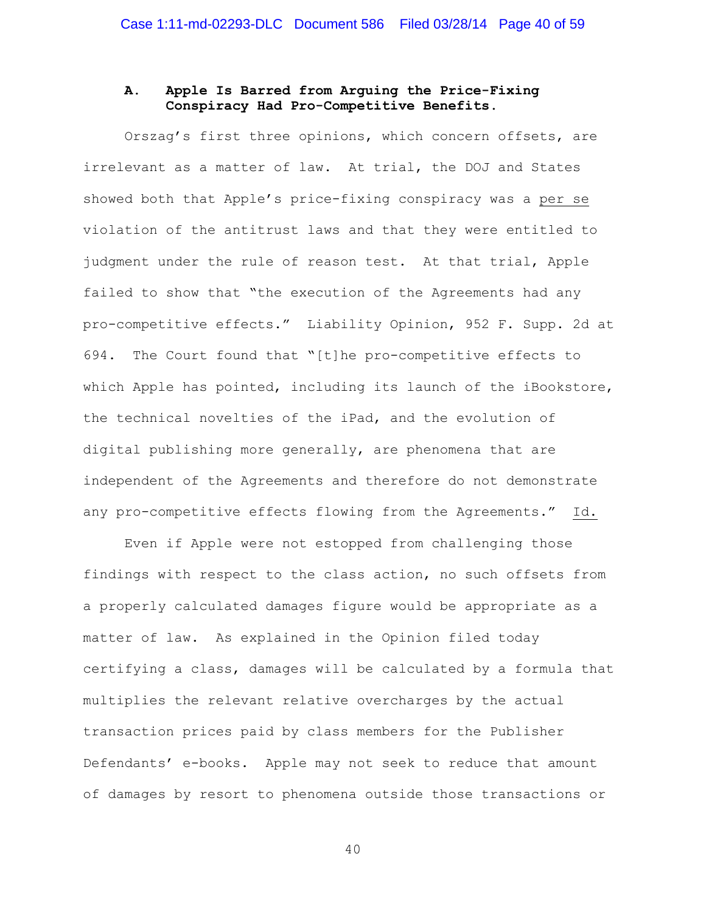### **A. Apple Is Barred from Arguing the Price-Fixing Conspiracy Had Pro-Competitive Benefits.**

Orszag's first three opinions, which concern offsets, are irrelevant as a matter of law. At trial, the DOJ and States showed both that Apple's price-fixing conspiracy was a per se violation of the antitrust laws and that they were entitled to judgment under the rule of reason test. At that trial, Apple failed to show that "the execution of the Agreements had any pro-competitive effects." Liability Opinion, 952 F. Supp. 2d at 694. The Court found that "[t]he pro-competitive effects to which Apple has pointed, including its launch of the iBookstore, the technical novelties of the iPad, and the evolution of digital publishing more generally, are phenomena that are independent of the Agreements and therefore do not demonstrate any pro-competitive effects flowing from the Agreements." Id.

Even if Apple were not estopped from challenging those findings with respect to the class action, no such offsets from a properly calculated damages figure would be appropriate as a matter of law. As explained in the Opinion filed today certifying a class, damages will be calculated by a formula that multiplies the relevant relative overcharges by the actual transaction prices paid by class members for the Publisher Defendants' e-books. Apple may not seek to reduce that amount of damages by resort to phenomena outside those transactions or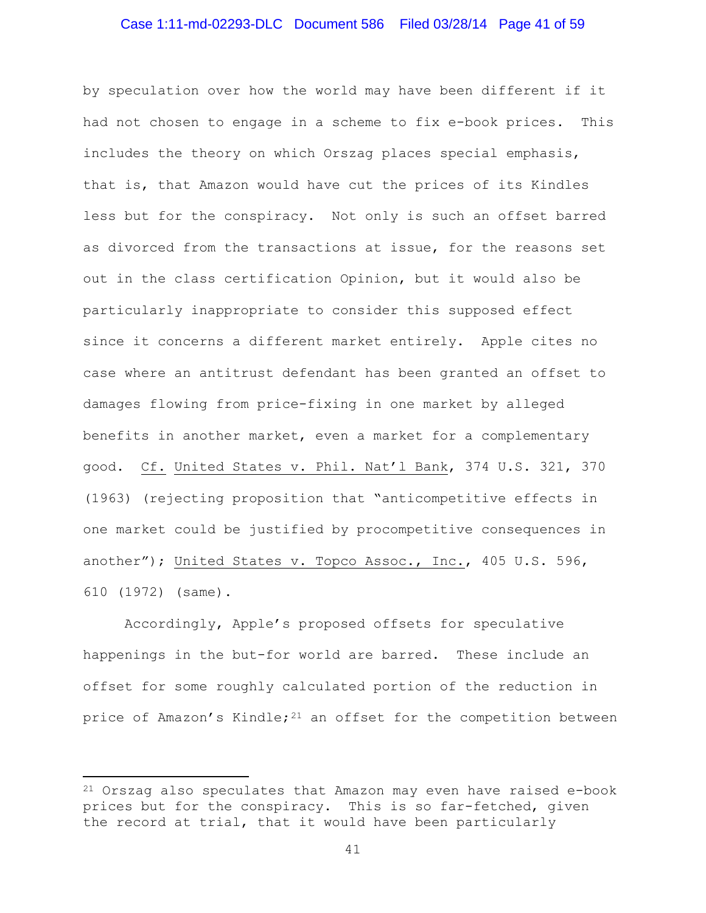### Case 1:11-md-02293-DLC Document 586 Filed 03/28/14 Page 41 of 59

by speculation over how the world may have been different if it had not chosen to engage in a scheme to fix e-book prices. This includes the theory on which Orszag places special emphasis, that is, that Amazon would have cut the prices of its Kindles less but for the conspiracy. Not only is such an offset barred as divorced from the transactions at issue, for the reasons set out in the class certification Opinion, but it would also be particularly inappropriate to consider this supposed effect since it concerns a different market entirely. Apple cites no case where an antitrust defendant has been granted an offset to damages flowing from price-fixing in one market by alleged benefits in another market, even a market for a complementary good. Cf. United States v. Phil. Nat'l Bank, 374 U.S. 321, 370 (1963) (rejecting proposition that "anticompetitive effects in one market could be justified by procompetitive consequences in another"); United States v. Topco Assoc., Inc., 405 U.S. 596, 610 (1972) (same).

Accordingly, Apple's proposed offsets for speculative happenings in the but-for world are barred. These include an offset for some roughly calculated portion of the reduction in price of Amazon's Kindle; $21$  an offset for the competition between

 $\overline{\phantom{a}}$ 

<span id="page-40-0"></span><sup>21</sup> Orszag also speculates that Amazon may even have raised e-book prices but for the conspiracy. This is so far-fetched, given the record at trial, that it would have been particularly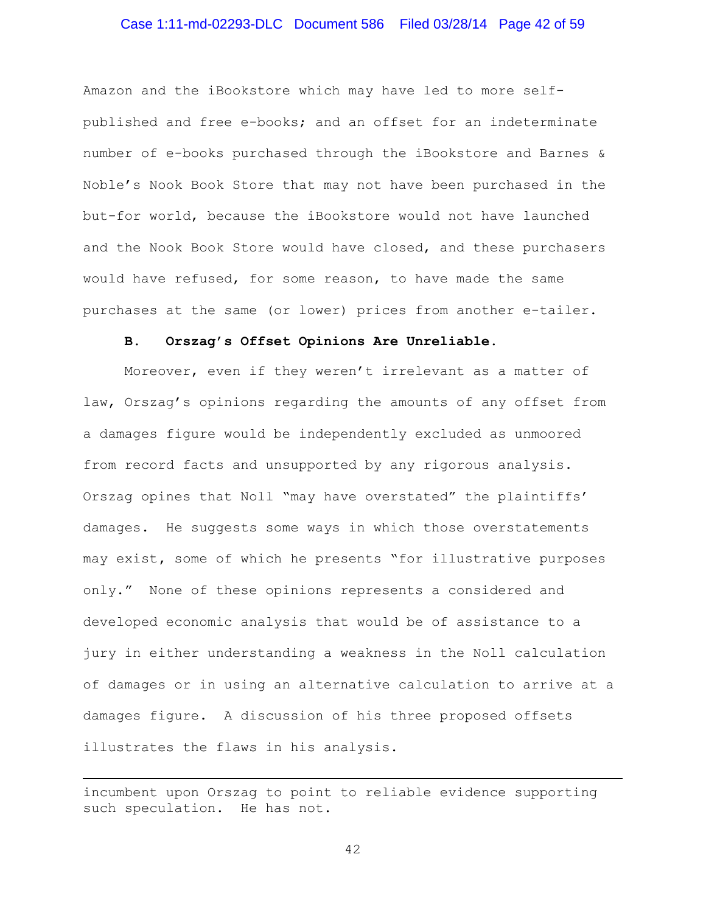### Case 1:11-md-02293-DLC Document 586 Filed 03/28/14 Page 42 of 59

Amazon and the iBookstore which may have led to more selfpublished and free e-books; and an offset for an indeterminate number of e-books purchased through the iBookstore and Barnes & Noble's Nook Book Store that may not have been purchased in the but-for world, because the iBookstore would not have launched and the Nook Book Store would have closed, and these purchasers would have refused, for some reason, to have made the same purchases at the same (or lower) prices from another e-tailer.

#### **B. Orszag's Offset Opinions Are Unreliable.**

Moreover, even if they weren't irrelevant as a matter of law, Orszag's opinions regarding the amounts of any offset from a damages figure would be independently excluded as unmoored from record facts and unsupported by any rigorous analysis. Orszag opines that Noll "may have overstated" the plaintiffs' damages. He suggests some ways in which those overstatements may exist**,** some of which he presents "for illustrative purposes only." None of these opinions represents a considered and developed economic analysis that would be of assistance to a jury in either understanding a weakness in the Noll calculation of damages or in using an alternative calculation to arrive at a damages figure. A discussion of his three proposed offsets illustrates the flaws in his analysis.

incumbent upon Orszag to point to reliable evidence supporting such speculation. He has not.

 $\overline{\phantom{a}}$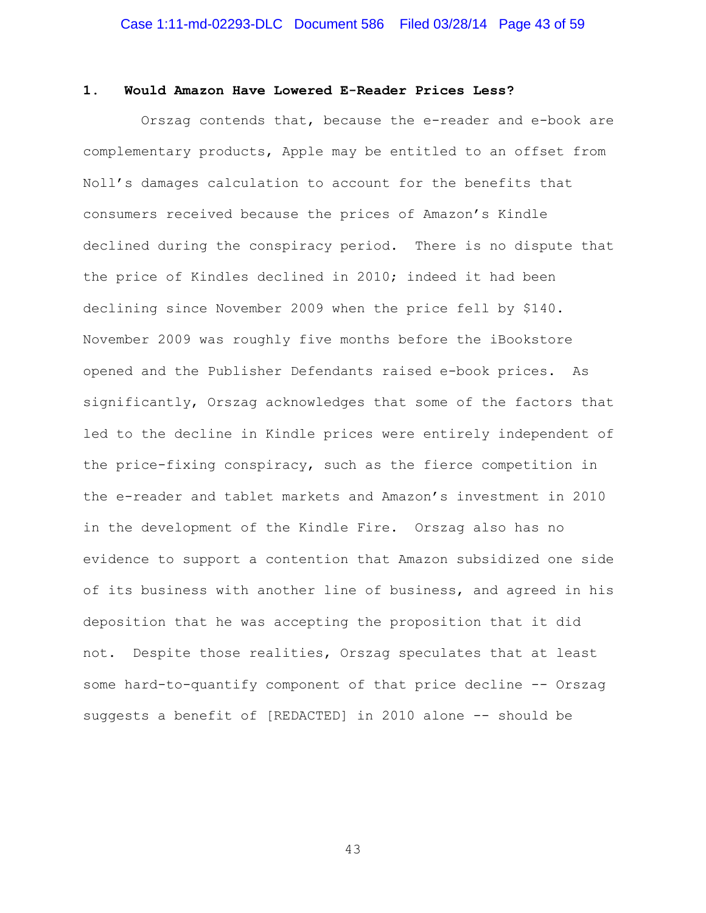#### **1. Would Amazon Have Lowered E-Reader Prices Less?**

 Orszag contends that, because the e-reader and e-book are complementary products, Apple may be entitled to an offset from Noll's damages calculation to account for the benefits that consumers received because the prices of Amazon's Kindle declined during the conspiracy period. There is no dispute that the price of Kindles declined in 2010; indeed it had been declining since November 2009 when the price fell by \$140. November 2009 was roughly five months before the iBookstore opened and the Publisher Defendants raised e-book prices. As significantly, Orszag acknowledges that some of the factors that led to the decline in Kindle prices were entirely independent of the price-fixing conspiracy, such as the fierce competition in the e-reader and tablet markets and Amazon's investment in 2010 in the development of the Kindle Fire. Orszag also has no evidence to support a contention that Amazon subsidized one side of its business with another line of business, and agreed in his deposition that he was accepting the proposition that it did not. Despite those realities, Orszag speculates that at least some hard-to-quantify component of that price decline -- Orszag suggests a benefit of [REDACTED] in 2010 alone -- should be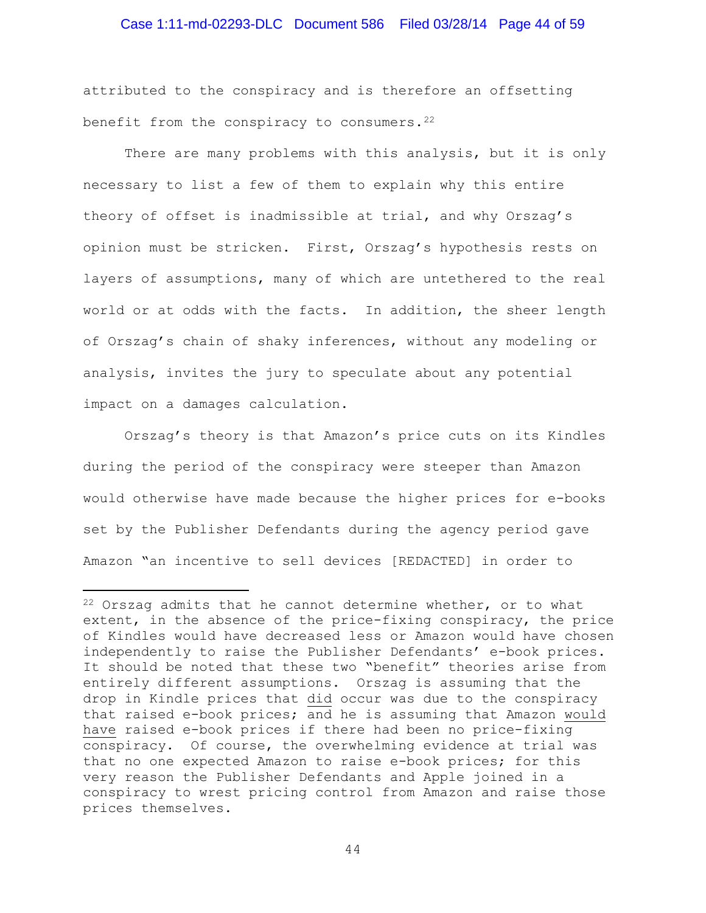### Case 1:11-md-02293-DLC Document 586 Filed 03/28/14 Page 44 of 59

attributed to the conspiracy and is therefore an offsetting benefit from the conspiracy to consumers. $22$ 

There are many problems with this analysis, but it is only necessary to list a few of them to explain why this entire theory of offset is inadmissible at trial, and why Orszag's opinion must be stricken. First, Orszag's hypothesis rests on layers of assumptions, many of which are untethered to the real world or at odds with the facts. In addition, the sheer length of Orszag's chain of shaky inferences, without any modeling or analysis, invites the jury to speculate about any potential impact on a damages calculation.

Orszag's theory is that Amazon's price cuts on its Kindles during the period of the conspiracy were steeper than Amazon would otherwise have made because the higher prices for e-books set by the Publisher Defendants during the agency period gave Amazon "an incentive to sell devices [REDACTED] in order to

l

<span id="page-43-0"></span> $22$  Orszag admits that he cannot determine whether, or to what extent, in the absence of the price-fixing conspiracy, the price of Kindles would have decreased less or Amazon would have chosen independently to raise the Publisher Defendants' e-book prices. It should be noted that these two "benefit" theories arise from entirely different assumptions. Orszag is assuming that the drop in Kindle prices that did occur was due to the conspiracy that raised e-book prices; and he is assuming that Amazon would have raised e-book prices if there had been no price-fixing conspiracy. Of course, the overwhelming evidence at trial was that no one expected Amazon to raise e-book prices; for this very reason the Publisher Defendants and Apple joined in a conspiracy to wrest pricing control from Amazon and raise those prices themselves.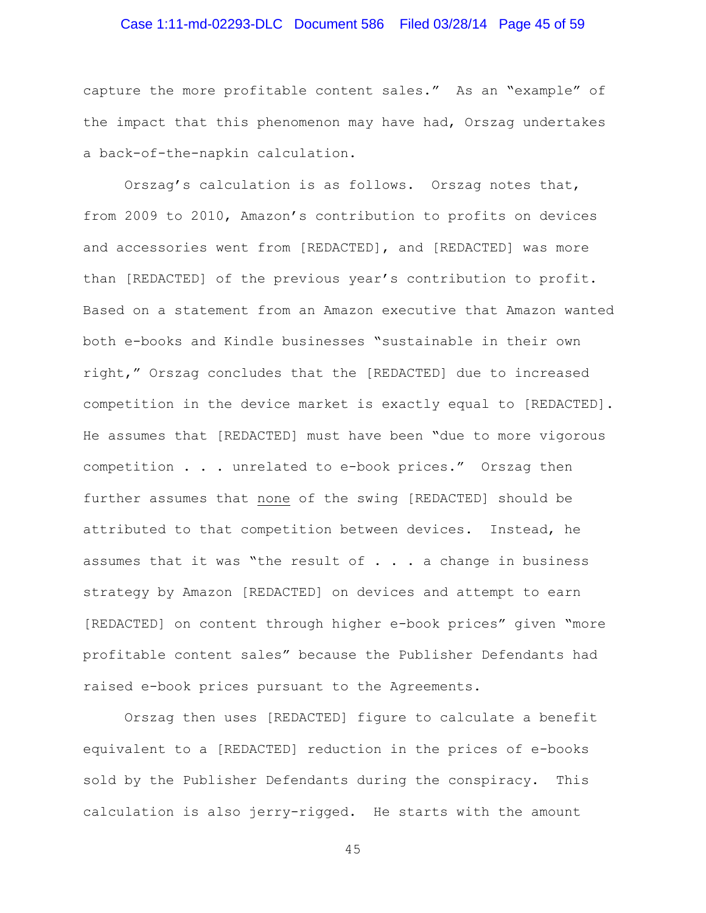# Case 1:11-md-02293-DLC Document 586 Filed 03/28/14 Page 45 of 59

capture the more profitable content sales." As an "example" of the impact that this phenomenon may have had, Orszag undertakes a back-of-the-napkin calculation.

Orszag's calculation is as follows. Orszag notes that, from 2009 to 2010, Amazon's contribution to profits on devices and accessories went from [REDACTED], and [REDACTED] was more than [REDACTED] of the previous year's contribution to profit. Based on a statement from an Amazon executive that Amazon wanted both e-books and Kindle businesses "sustainable in their own right," Orszag concludes that the [REDACTED] due to increased competition in the device market is exactly equal to [REDACTED]. He assumes that [REDACTED] must have been "due to more vigorous competition . . . unrelated to e-book prices." Orszag then further assumes that none of the swing [REDACTED] should be attributed to that competition between devices. Instead, he assumes that it was "the result of  $\ldots$  a change in business strategy by Amazon [REDACTED] on devices and attempt to earn [REDACTED] on content through higher e-book prices" given "more profitable content sales" because the Publisher Defendants had raised e-book prices pursuant to the Agreements.

Orszag then uses [REDACTED] figure to calculate a benefit equivalent to a [REDACTED] reduction in the prices of e-books sold by the Publisher Defendants during the conspiracy. This calculation is also jerry-rigged. He starts with the amount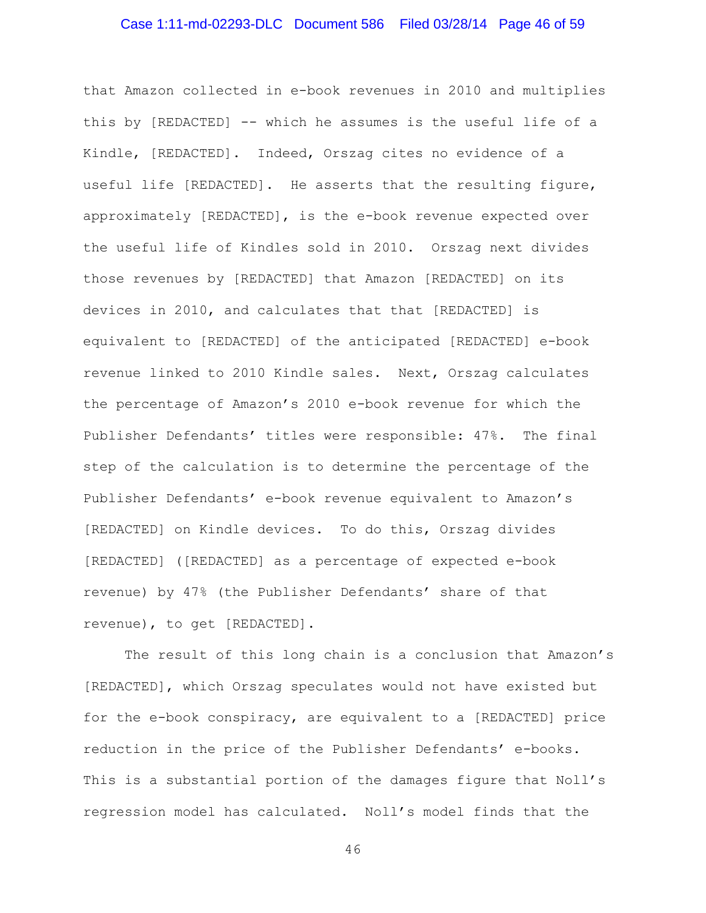# Case 1:11-md-02293-DLC Document 586 Filed 03/28/14 Page 46 of 59

that Amazon collected in e-book revenues in 2010 and multiplies this by [REDACTED] -- which he assumes is the useful life of a Kindle, [REDACTED]. Indeed, Orszag cites no evidence of a useful life [REDACTED]. He asserts that the resulting figure, approximately [REDACTED], is the e-book revenue expected over the useful life of Kindles sold in 2010. Orszag next divides those revenues by [REDACTED] that Amazon [REDACTED] on its devices in 2010, and calculates that that [REDACTED] is equivalent to [REDACTED] of the anticipated [REDACTED] e-book revenue linked to 2010 Kindle sales. Next, Orszag calculates the percentage of Amazon's 2010 e-book revenue for which the Publisher Defendants' titles were responsible: 47%. The final step of the calculation is to determine the percentage of the Publisher Defendants' e-book revenue equivalent to Amazon's [REDACTED] on Kindle devices. To do this, Orszag divides [REDACTED] ([REDACTED] as a percentage of expected e-book revenue) by 47% (the Publisher Defendants' share of that revenue), to get [REDACTED].

The result of this long chain is a conclusion that Amazon's [REDACTED], which Orszag speculates would not have existed but for the e-book conspiracy, are equivalent to a [REDACTED] price reduction in the price of the Publisher Defendants' e-books. This is a substantial portion of the damages figure that Noll's regression model has calculated. Noll's model finds that the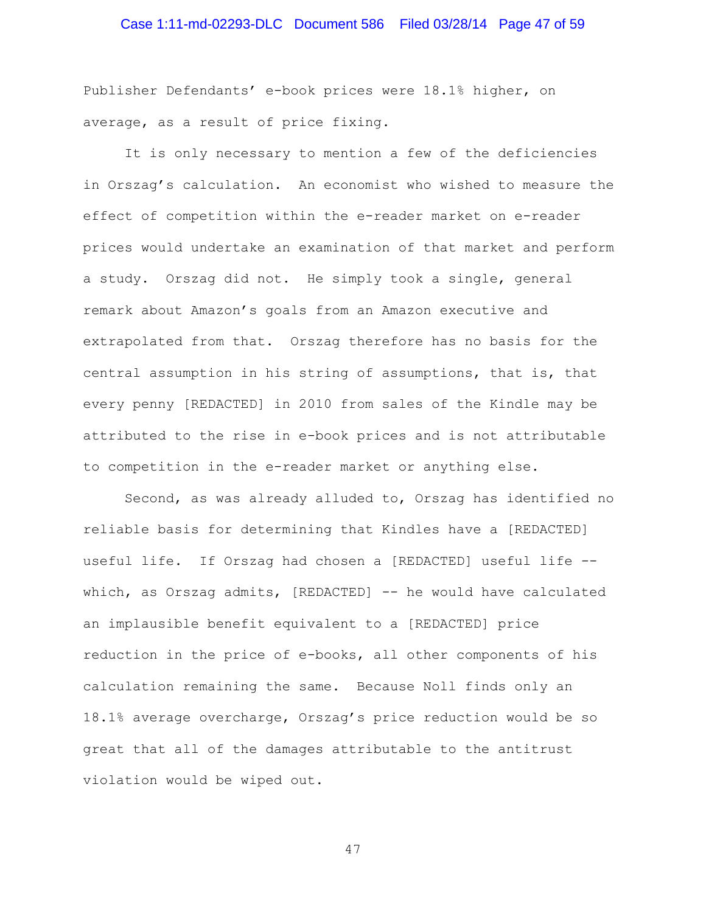# Case 1:11-md-02293-DLC Document 586 Filed 03/28/14 Page 47 of 59

Publisher Defendants' e-book prices were 18.1% higher, on average, as a result of price fixing.

It is only necessary to mention a few of the deficiencies in Orszag's calculation. An economist who wished to measure the effect of competition within the e-reader market on e-reader prices would undertake an examination of that market and perform a study. Orszag did not. He simply took a single, general remark about Amazon's goals from an Amazon executive and extrapolated from that. Orszag therefore has no basis for the central assumption in his string of assumptions, that is, that every penny [REDACTED] in 2010 from sales of the Kindle may be attributed to the rise in e-book prices and is not attributable to competition in the e-reader market or anything else.

Second, as was already alluded to, Orszag has identified no reliable basis for determining that Kindles have a [REDACTED] useful life. If Orszag had chosen a [REDACTED] useful life - which, as Orszag admits, [REDACTED] -- he would have calculated an implausible benefit equivalent to a [REDACTED] price reduction in the price of e-books, all other components of his calculation remaining the same. Because Noll finds only an 18.1% average overcharge, Orszag's price reduction would be so great that all of the damages attributable to the antitrust violation would be wiped out.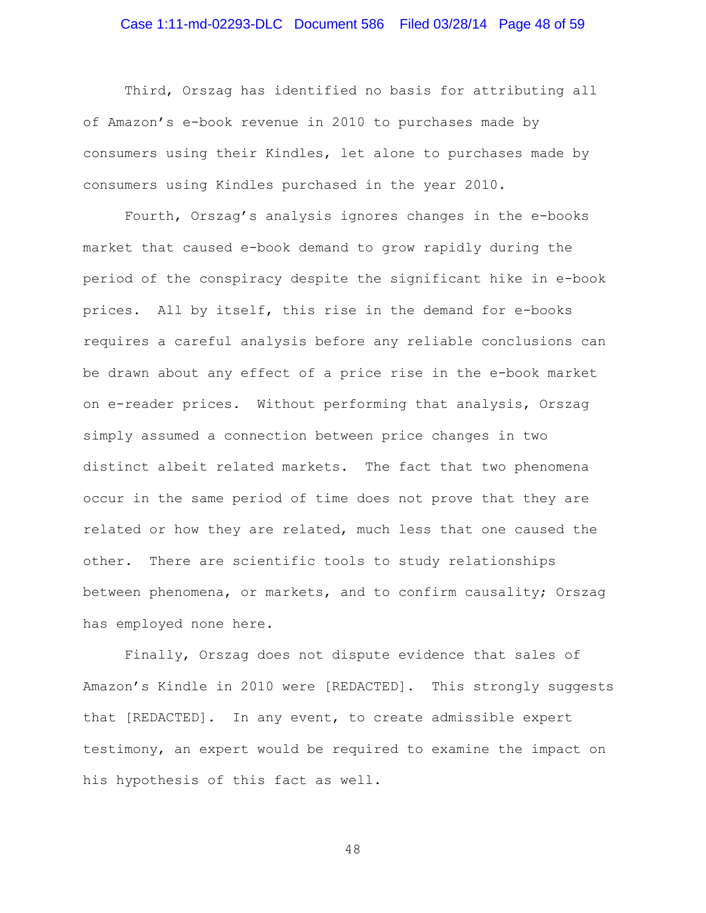# Case 1:11-md-02293-DLC Document 586 Filed 03/28/14 Page 48 of 59

Third, Orszag has identified no basis for attributing all of Amazon's e-book revenue in 2010 to purchases made by consumers using their Kindles, let alone to purchases made by consumers using Kindles purchased in the year 2010.

Fourth, Orszag's analysis ignores changes in the e-books market that caused e-book demand to grow rapidly during the period of the conspiracy despite the significant hike in e-book prices. All by itself, this rise in the demand for e-books requires a careful analysis before any reliable conclusions can be drawn about any effect of a price rise in the e-book market on e-reader prices. Without performing that analysis, Orszag simply assumed a connection between price changes in two distinct albeit related markets. The fact that two phenomena occur in the same period of time does not prove that they are related or how they are related, much less that one caused the other. There are scientific tools to study relationships between phenomena, or markets, and to confirm causality; Orszag has employed none here.

Finally, Orszag does not dispute evidence that sales of Amazon's Kindle in 2010 were [REDACTED]. This strongly suggests that [REDACTED]. In any event, to create admissible expert testimony, an expert would be required to examine the impact on his hypothesis of this fact as well.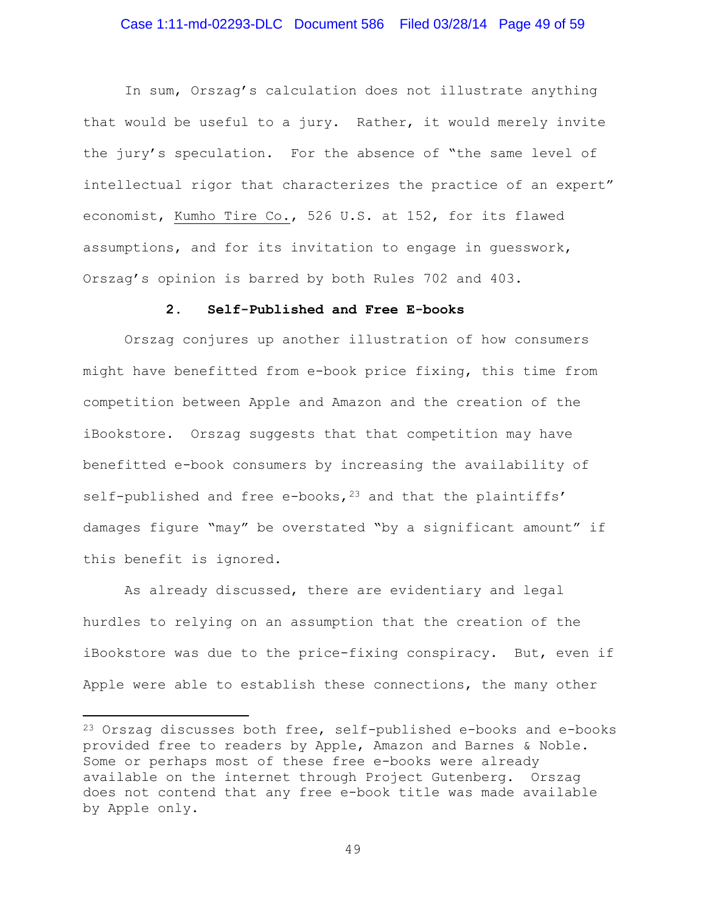### Case 1:11-md-02293-DLC Document 586 Filed 03/28/14 Page 49 of 59

In sum, Orszag's calculation does not illustrate anything that would be useful to a jury. Rather, it would merely invite the jury's speculation. For the absence of "the same level of intellectual rigor that characterizes the practice of an expert" economist, Kumho Tire Co., 526 U.S. at 152, for its flawed assumptions, and for its invitation to engage in guesswork, Orszag's opinion is barred by both Rules 702 and 403.

#### **2. Self-Published and Free E-books**

Orszag conjures up another illustration of how consumers might have benefitted from e-book price fixing, this time from competition between Apple and Amazon and the creation of the iBookstore. Orszag suggests that that competition may have benefitted e-book consumers by increasing the availability of self-published and free e-books,  $^{23}$  $^{23}$  $^{23}$  and that the plaintiffs' damages figure "may" be overstated "by a significant amount" if this benefit is ignored.

As already discussed, there are evidentiary and legal hurdles to relying on an assumption that the creation of the iBookstore was due to the price-fixing conspiracy. But, even if Apple were able to establish these connections, the many other

l

<span id="page-48-0"></span><sup>23</sup> Orszag discusses both free, self-published e-books and e-books provided free to readers by Apple, Amazon and Barnes & Noble. Some or perhaps most of these free e-books were already available on the internet through Project Gutenberg. Orszag does not contend that any free e-book title was made available by Apple only.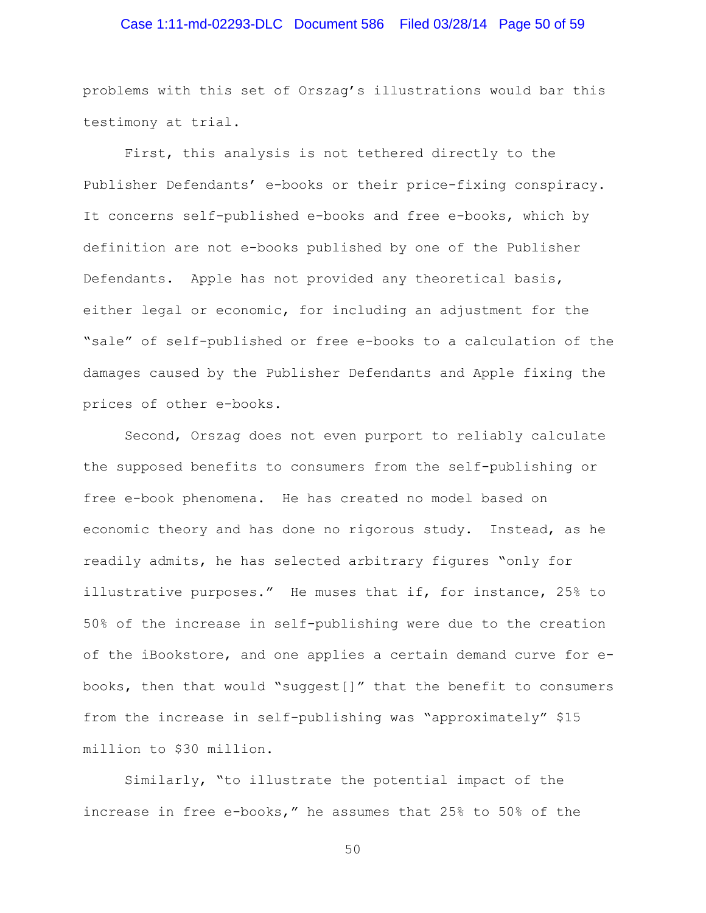# Case 1:11-md-02293-DLC Document 586 Filed 03/28/14 Page 50 of 59

problems with this set of Orszag's illustrations would bar this testimony at trial.

First, this analysis is not tethered directly to the Publisher Defendants' e-books or their price-fixing conspiracy. It concerns self-published e-books and free e-books, which by definition are not e-books published by one of the Publisher Defendants. Apple has not provided any theoretical basis, either legal or economic, for including an adjustment for the "sale" of self-published or free e-books to a calculation of the damages caused by the Publisher Defendants and Apple fixing the prices of other e-books.

Second, Orszag does not even purport to reliably calculate the supposed benefits to consumers from the self-publishing or free e-book phenomena. He has created no model based on economic theory and has done no rigorous study. Instead, as he readily admits, he has selected arbitrary figures "only for illustrative purposes." He muses that if, for instance, 25% to 50% of the increase in self-publishing were due to the creation of the iBookstore, and one applies a certain demand curve for ebooks, then that would "suggest[]" that the benefit to consumers from the increase in self-publishing was "approximately" \$15 million to \$30 million.

Similarly, "to illustrate the potential impact of the increase in free e-books," he assumes that 25% to 50% of the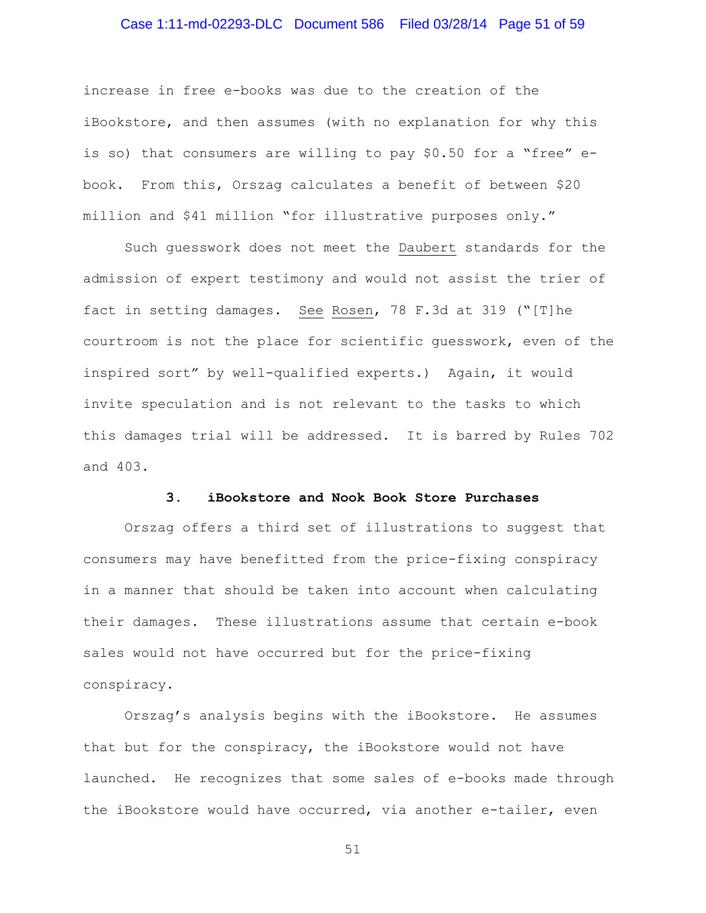### Case 1:11-md-02293-DLC Document 586 Filed 03/28/14 Page 51 of 59

increase in free e-books was due to the creation of the iBookstore, and then assumes (with no explanation for why this is so) that consumers are willing to pay \$0.50 for a "free" ebook. From this, Orszag calculates a benefit of between \$20 million and \$41 million "for illustrative purposes only."

Such guesswork does not meet the Daubert standards for the admission of expert testimony and would not assist the trier of fact in setting damages. See Rosen, 78 F.3d at 319 ("[T]he courtroom is not the place for scientific guesswork, even of the inspired sort" by well-qualified experts.)Again, it would invite speculation and is not relevant to the tasks to which this damages trial will be addressed. It is barred by Rules 702 and 403.

#### **3. iBookstore and Nook Book Store Purchases**

Orszag offers a third set of illustrations to suggest that consumers may have benefitted from the price-fixing conspiracy in a manner that should be taken into account when calculating their damages. These illustrations assume that certain e-book sales would not have occurred but for the price-fixing conspiracy.

Orszag's analysis begins with the iBookstore. He assumes that but for the conspiracy, the iBookstore would not have launched. He recognizes that some sales of e-books made through the iBookstore would have occurred, via another e-tailer, even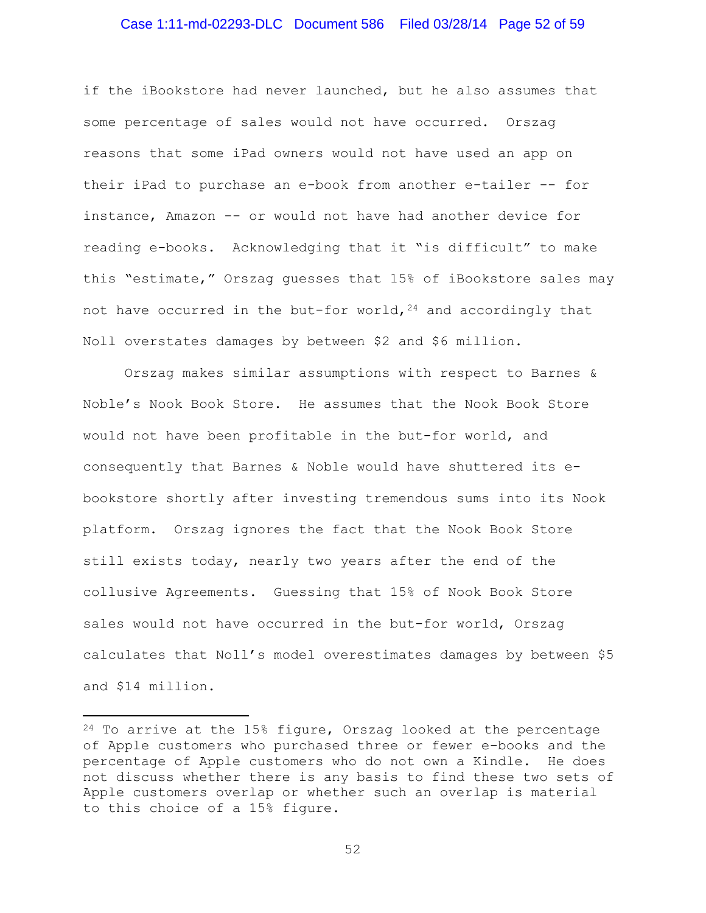### Case 1:11-md-02293-DLC Document 586 Filed 03/28/14 Page 52 of 59

if the iBookstore had never launched, but he also assumes that some percentage of sales would not have occurred. Orszag reasons that some iPad owners would not have used an app on their iPad to purchase an e-book from another e-tailer -- for instance, Amazon -- or would not have had another device for reading e-books. Acknowledging that it "is difficult" to make this "estimate," Orszag guesses that 15% of iBookstore sales may not have occurred in the but-for world,  $24$  and accordingly that Noll overstates damages by between \$2 and \$6 million.

Orszag makes similar assumptions with respect to Barnes & Noble's Nook Book Store. He assumes that the Nook Book Store would not have been profitable in the but-for world, and consequently that Barnes & Noble would have shuttered its ebookstore shortly after investing tremendous sums into its Nook platform. Orszag ignores the fact that the Nook Book Store still exists today, nearly two years after the end of the collusive Agreements. Guessing that 15% of Nook Book Store sales would not have occurred in the but-for world, Orszag calculates that Noll's model overestimates damages by between \$5 and \$14 million.

l

<span id="page-51-0"></span><sup>24</sup> To arrive at the 15% figure, Orszag looked at the percentage of Apple customers who purchased three or fewer e-books and the percentage of Apple customers who do not own a Kindle. He does not discuss whether there is any basis to find these two sets of Apple customers overlap or whether such an overlap is material to this choice of a 15% figure.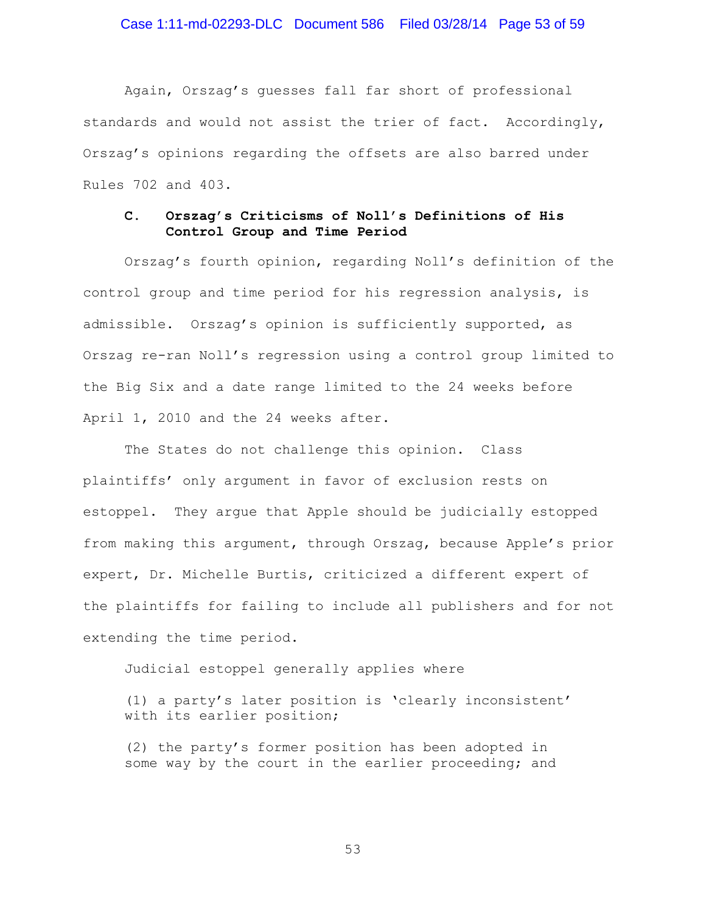### Case 1:11-md-02293-DLC Document 586 Filed 03/28/14 Page 53 of 59

Again, Orszag's guesses fall far short of professional standards and would not assist the trier of fact. Accordingly, Orszag's opinions regarding the offsets are also barred under Rules 702 and 403.

### **C. Orszag's Criticisms of Noll's Definitions of His Control Group and Time Period**

Orszag's fourth opinion, regarding Noll's definition of the control group and time period for his regression analysis, is admissible. Orszag's opinion is sufficiently supported, as Orszag re-ran Noll's regression using a control group limited to the Big Six and a date range limited to the 24 weeks before April 1, 2010 and the 24 weeks after.

The States do not challenge this opinion. Class plaintiffs' only argument in favor of exclusion rests on estoppel. They argue that Apple should be judicially estopped from making this argument, through Orszag, because Apple's prior expert, Dr. Michelle Burtis, criticized a different expert of the plaintiffs for failing to include all publishers and for not extending the time period.

Judicial estoppel generally applies where

(1) a party's later position is 'clearly inconsistent' with its earlier position;

(2) the party's former position has been adopted in some way by the court in the earlier proceeding; and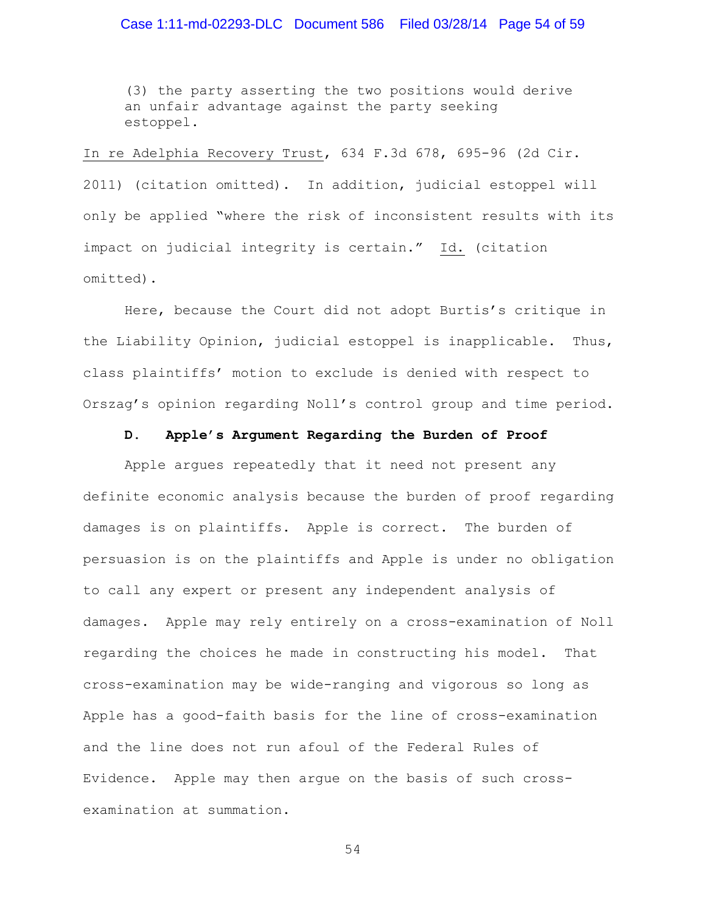(3) the party asserting the two positions would derive an unfair advantage against the party seeking estoppel.

In re Adelphia Recovery Trust, 634 F.3d 678, 695-96 (2d Cir. 2011) (citation omitted). In addition, judicial estoppel will only be applied "where the risk of inconsistent results with its impact on judicial integrity is certain." Id. (citation omitted).

Here, because the Court did not adopt Burtis's critique in the Liability Opinion, judicial estoppel is inapplicable. Thus, class plaintiffs' motion to exclude is denied with respect to Orszag's opinion regarding Noll's control group and time period.

#### **D. Apple's Argument Regarding the Burden of Proof**

Apple argues repeatedly that it need not present any definite economic analysis because the burden of proof regarding damages is on plaintiffs. Apple is correct. The burden of persuasion is on the plaintiffs and Apple is under no obligation to call any expert or present any independent analysis of damages. Apple may rely entirely on a cross-examination of Noll regarding the choices he made in constructing his model. That cross-examination may be wide-ranging and vigorous so long as Apple has a good-faith basis for the line of cross-examination and the line does not run afoul of the Federal Rules of Evidence. Apple may then argue on the basis of such crossexamination at summation.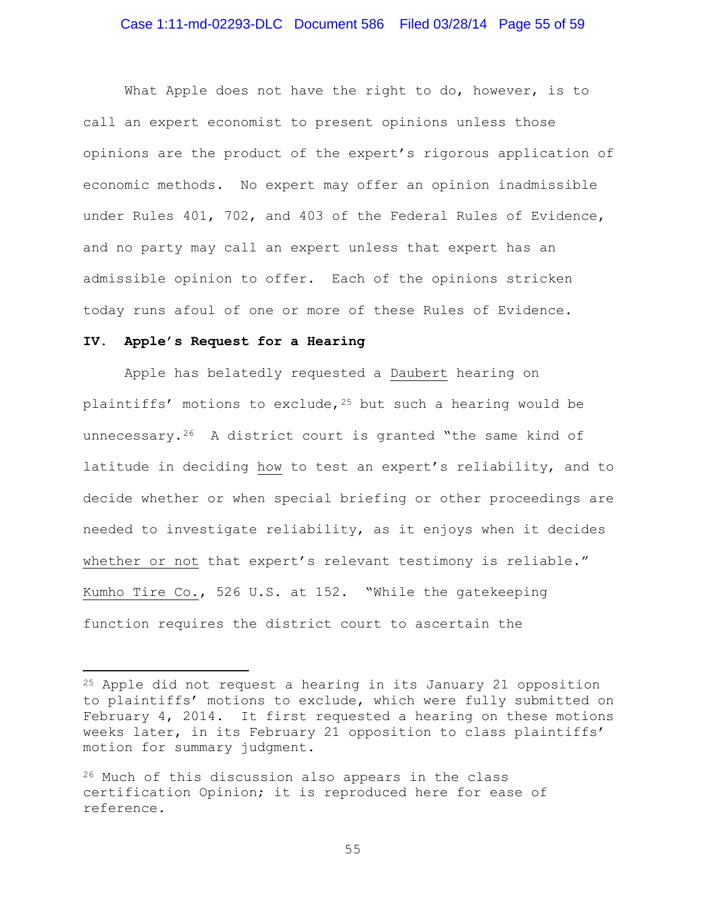### Case 1:11-md-02293-DLC Document 586 Filed 03/28/14 Page 55 of 59

What Apple does not have the right to do, however, is to call an expert economist to present opinions unless those opinions are the product of the expert's rigorous application of economic methods. No expert may offer an opinion inadmissible under Rules 401, 702, and 403 of the Federal Rules of Evidence, and no party may call an expert unless that expert has an admissible opinion to offer. Each of the opinions stricken today runs afoul of one or more of these Rules of Evidence.

#### **IV. Apple's Request for a Hearing**

 $\overline{\phantom{a}}$ 

Apple has belatedly requested a Daubert hearing on plaintiffs' motions to exclude,  $25$  but such a hearing would be unnecessary.<sup>[26](#page-54-1)</sup> A district court is granted "the same kind of latitude in deciding how to test an expert's reliability, and to decide whether or when special briefing or other proceedings are needed to investigate reliability, as it enjoys when it decides whether or not that expert's relevant testimony is reliable." Kumho Tire Co., 526 U.S. at 152. "While the gatekeeping function requires the district court to ascertain the

<span id="page-54-0"></span><sup>25</sup> Apple did not request a hearing in its January 21 opposition to plaintiffs' motions to exclude, which were fully submitted on February 4, 2014. It first requested a hearing on these motions weeks later, in its February 21 opposition to class plaintiffs' motion for summary judgment.

<span id="page-54-1"></span><sup>26</sup> Much of this discussion also appears in the class certification Opinion; it is reproduced here for ease of reference.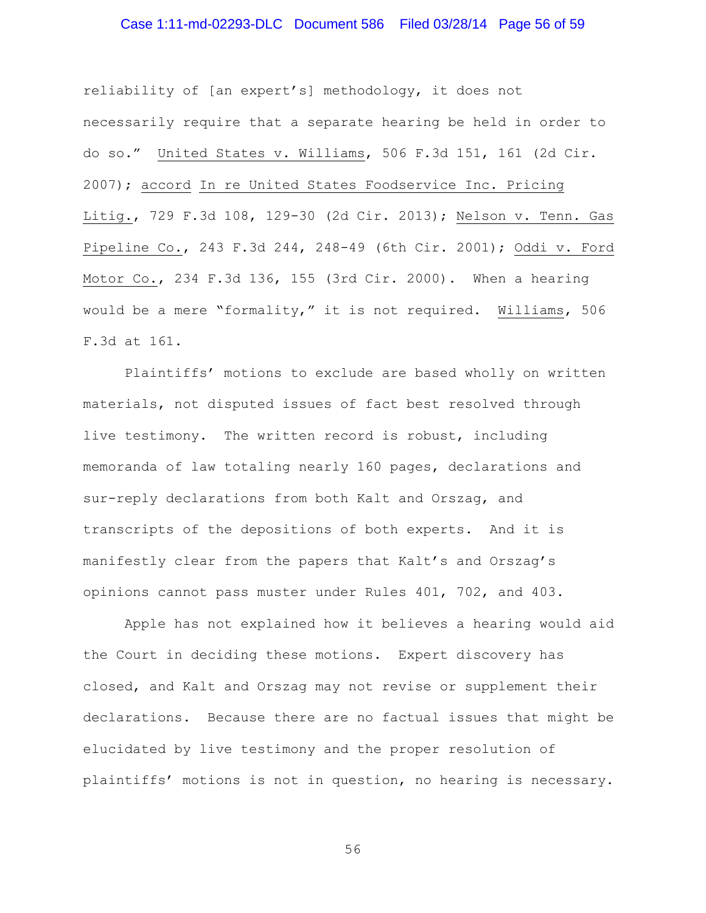### Case 1:11-md-02293-DLC Document 586 Filed 03/28/14 Page 56 of 59

reliability of [an expert's] methodology, it does not necessarily require that a separate hearing be held in order to do so." United States v. Williams, 506 F.3d 151, 161 (2d Cir. 2007); accord In re United States Foodservice Inc. Pricing Litig., 729 F.3d 108, 129-30 (2d Cir. 2013); Nelson v. Tenn. Gas Pipeline Co., 243 F.3d 244, 248-49 (6th Cir. 2001); Oddi v. Ford Motor Co., 234 F.3d 136, 155 (3rd Cir. 2000). When a hearing would be a mere "formality," it is not required. Williams, 506 F.3d at 161.

Plaintiffs' motions to exclude are based wholly on written materials, not disputed issues of fact best resolved through live testimony. The written record is robust, including memoranda of law totaling nearly 160 pages, declarations and sur-reply declarations from both Kalt and Orszag, and transcripts of the depositions of both experts. And it is manifestly clear from the papers that Kalt's and Orszag's opinions cannot pass muster under Rules 401, 702, and 403.

Apple has not explained how it believes a hearing would aid the Court in deciding these motions. Expert discovery has closed, and Kalt and Orszag may not revise or supplement their declarations. Because there are no factual issues that might be elucidated by live testimony and the proper resolution of plaintiffs' motions is not in question, no hearing is necessary.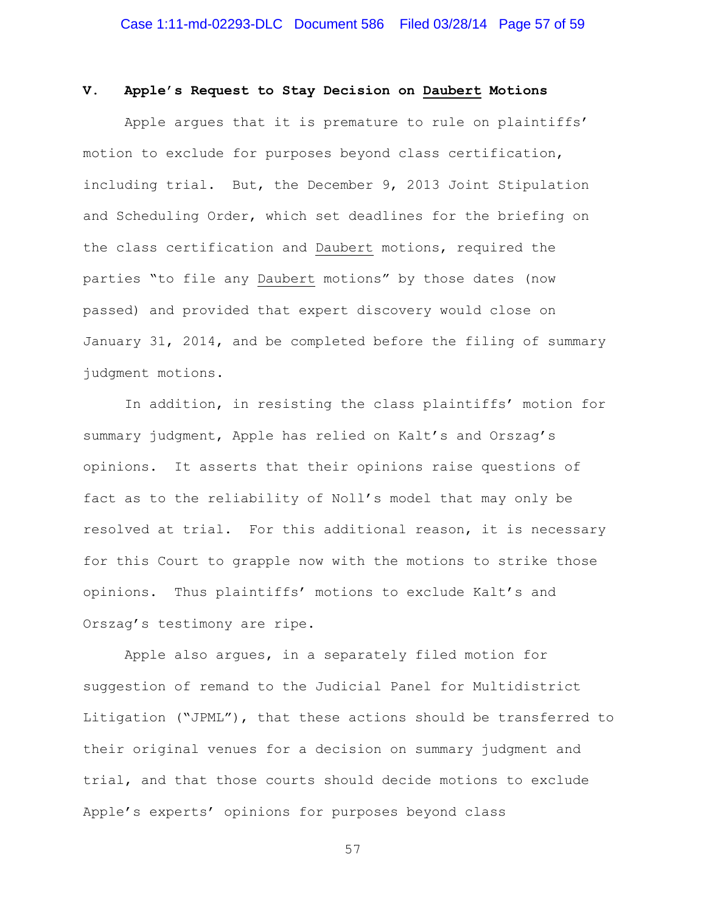#### **V. Apple's Request to Stay Decision on Daubert Motions**

Apple argues that it is premature to rule on plaintiffs' motion to exclude for purposes beyond class certification, including trial. But, the December 9, 2013 Joint Stipulation and Scheduling Order, which set deadlines for the briefing on the class certification and Daubert motions, required the parties "to file any Daubert motions" by those dates (now passed) and provided that expert discovery would close on January 31, 2014, and be completed before the filing of summary judgment motions.

In addition, in resisting the class plaintiffs' motion for summary judgment, Apple has relied on Kalt's and Orszag's opinions. It asserts that their opinions raise questions of fact as to the reliability of Noll's model that may only be resolved at trial. For this additional reason, it is necessary for this Court to grapple now with the motions to strike those opinions. Thus plaintiffs' motions to exclude Kalt's and Orszag's testimony are ripe.

Apple also argues, in a separately filed motion for suggestion of remand to the Judicial Panel for Multidistrict Litigation ("JPML"), that these actions should be transferred to their original venues for a decision on summary judgment and trial, and that those courts should decide motions to exclude Apple's experts' opinions for purposes beyond class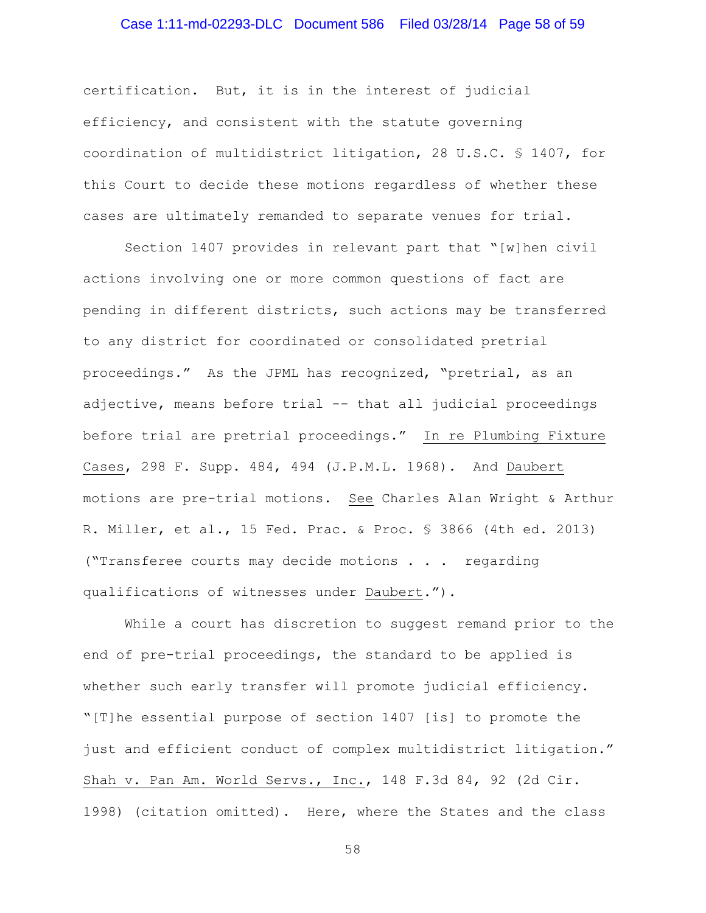# Case 1:11-md-02293-DLC Document 586 Filed 03/28/14 Page 58 of 59

certification. But, it is in the interest of judicial efficiency, and consistent with the statute governing coordination of multidistrict litigation, 28 U.S.C. § 1407, for this Court to decide these motions regardless of whether these cases are ultimately remanded to separate venues for trial.

Section 1407 provides in relevant part that "[w]hen civil actions involving one or more common questions of fact are pending in different districts, such actions may be transferred to any district for coordinated or consolidated pretrial proceedings." As the JPML has recognized, "pretrial, as an adjective, means before trial -- that all judicial proceedings before trial are pretrial proceedings." In re Plumbing Fixture Cases, 298 F. Supp. 484, 494 (J.P.M.L. 1968). And Daubert motions are pre-trial motions. See Charles Alan Wright & Arthur R. Miller, et al., 15 Fed. Prac. & Proc. § 3866 (4th ed. 2013) ("Transferee courts may decide motions . . . regarding qualifications of witnesses under Daubert.").

While a court has discretion to suggest remand prior to the end of pre-trial proceedings, the standard to be applied is whether such early transfer will promote judicial efficiency. "[T]he essential purpose of section 1407 [is] to promote the just and efficient conduct of complex multidistrict litigation." Shah v. Pan Am. World Servs., Inc., 148 F.3d 84, 92 (2d Cir. 1998) (citation omitted). Here, where the States and the class